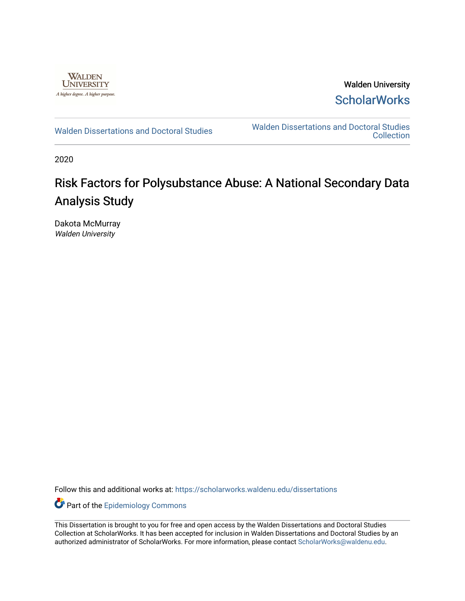

Walden University **ScholarWorks** 

[Walden Dissertations and Doctoral Studies](https://scholarworks.waldenu.edu/dissertations) Walden Dissertations and Doctoral Studies **Collection** 

2020

# Risk Factors for Polysubstance Abuse: A National Secondary Data Analysis Study

Dakota McMurray Walden University

Follow this and additional works at: [https://scholarworks.waldenu.edu/dissertations](https://scholarworks.waldenu.edu/dissertations?utm_source=scholarworks.waldenu.edu%2Fdissertations%2F9193&utm_medium=PDF&utm_campaign=PDFCoverPages)

Part of the [Epidemiology Commons](http://network.bepress.com/hgg/discipline/740?utm_source=scholarworks.waldenu.edu%2Fdissertations%2F9193&utm_medium=PDF&utm_campaign=PDFCoverPages) 

This Dissertation is brought to you for free and open access by the Walden Dissertations and Doctoral Studies Collection at ScholarWorks. It has been accepted for inclusion in Walden Dissertations and Doctoral Studies by an authorized administrator of ScholarWorks. For more information, please contact [ScholarWorks@waldenu.edu](mailto:ScholarWorks@waldenu.edu).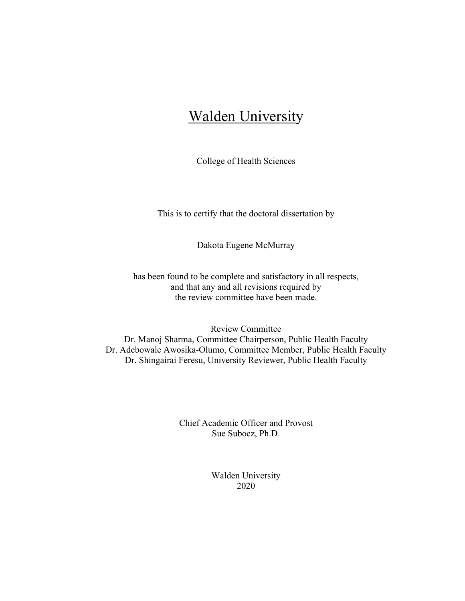# Walden University

College of Health Sciences

This is to certify that the doctoral dissertation by

Dakota Eugene McMurray

has been found to be complete and satisfactory in all respects, and that any and all revisions required by the review committee have been made.

Review Committee Dr. Manoj Sharma, Committee Chairperson, Public Health Faculty Dr. Adebowale Awosika-Olumo, Committee Member, Public Health Faculty Dr. Shingairai Feresu, University Reviewer, Public Health Faculty

> Chief Academic Officer and Provost Sue Subocz, Ph.D.

> > Walden University 2020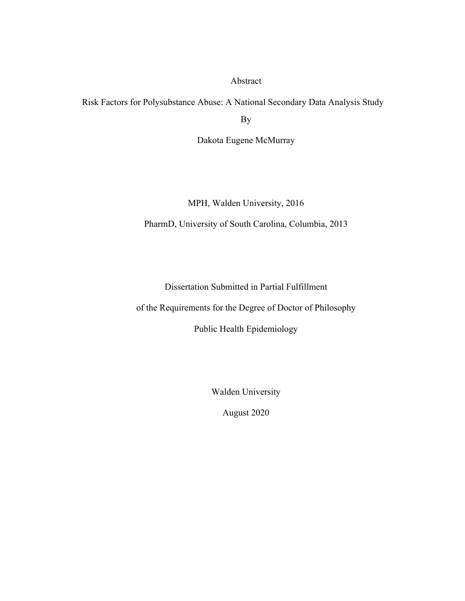Abstract

Risk Factors for Polysubstance Abuse: A National Secondary Data Analysis Study

By

Dakota Eugene McMurray

MPH, Walden University, 2016

PharmD, University of South Carolina, Columbia, 2013

Dissertation Submitted in Partial Fulfillment

of the Requirements for the Degree of Doctor of Philosophy

Public Health Epidemiology

Walden University

August 2020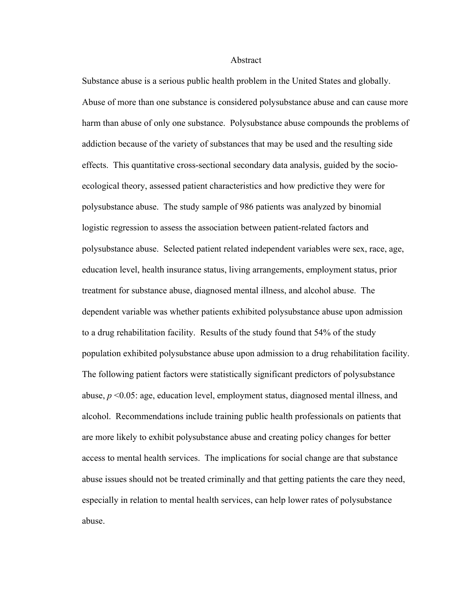#### Abstract

Substance abuse is a serious public health problem in the United States and globally. Abuse of more than one substance is considered polysubstance abuse and can cause more harm than abuse of only one substance. Polysubstance abuse compounds the problems of addiction because of the variety of substances that may be used and the resulting side effects. This quantitative cross-sectional secondary data analysis, guided by the socioecological theory, assessed patient characteristics and how predictive they were for polysubstance abuse. The study sample of 986 patients was analyzed by binomial logistic regression to assess the association between patient-related factors and polysubstance abuse. Selected patient related independent variables were sex, race, age, education level, health insurance status, living arrangements, employment status, prior treatment for substance abuse, diagnosed mental illness, and alcohol abuse. The dependent variable was whether patients exhibited polysubstance abuse upon admission to a drug rehabilitation facility. Results of the study found that 54% of the study population exhibited polysubstance abuse upon admission to a drug rehabilitation facility. The following patient factors were statistically significant predictors of polysubstance abuse, *p* <0.05: age, education level, employment status, diagnosed mental illness, and alcohol. Recommendations include training public health professionals on patients that are more likely to exhibit polysubstance abuse and creating policy changes for better access to mental health services. The implications for social change are that substance abuse issues should not be treated criminally and that getting patients the care they need, especially in relation to mental health services, can help lower rates of polysubstance abuse.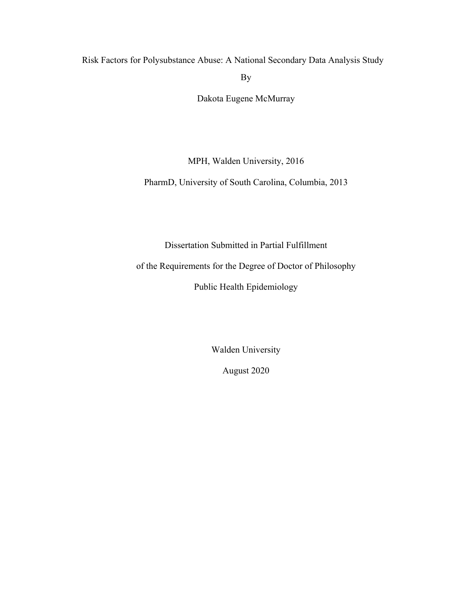Risk Factors for Polysubstance Abuse: A National Secondary Data Analysis Study By

Dakota Eugene McMurray

MPH, Walden University, 2016

PharmD, University of South Carolina, Columbia, 2013

Dissertation Submitted in Partial Fulfillment

of the Requirements for the Degree of Doctor of Philosophy

Public Health Epidemiology

Walden University

August 2020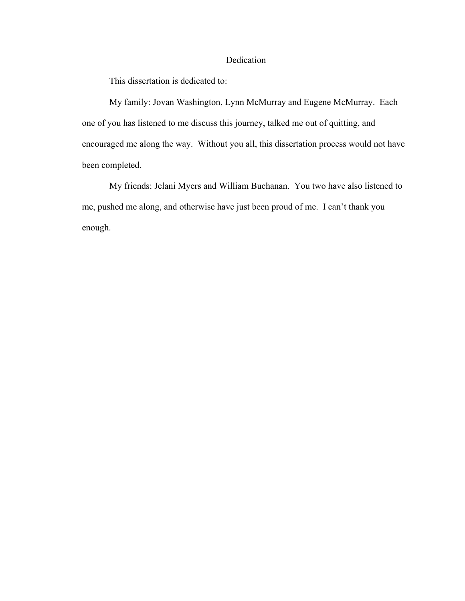# Dedication

This dissertation is dedicated to:

My family: Jovan Washington, Lynn McMurray and Eugene McMurray. Each one of you has listened to me discuss this journey, talked me out of quitting, and encouraged me along the way. Without you all, this dissertation process would not have been completed.

My friends: Jelani Myers and William Buchanan. You two have also listened to me, pushed me along, and otherwise have just been proud of me. I can't thank you enough.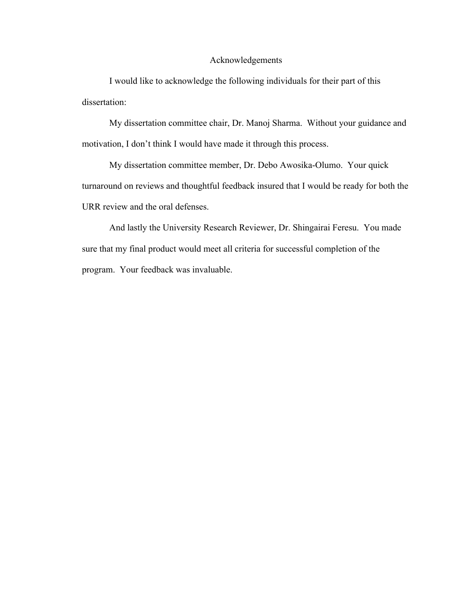# Acknowledgements

I would like to acknowledge the following individuals for their part of this dissertation:

My dissertation committee chair, Dr. Manoj Sharma. Without your guidance and motivation, I don't think I would have made it through this process.

My dissertation committee member, Dr. Debo Awosika-Olumo. Your quick turnaround on reviews and thoughtful feedback insured that I would be ready for both the URR review and the oral defenses.

And lastly the University Research Reviewer, Dr. Shingairai Feresu. You made sure that my final product would meet all criteria for successful completion of the program. Your feedback was invaluable.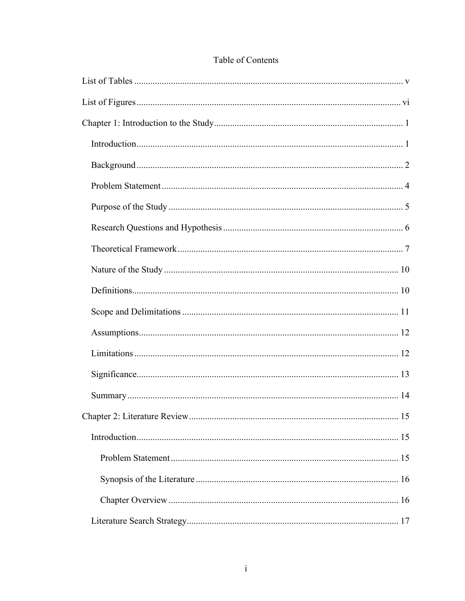| 15 |
|----|
|    |
|    |
|    |
|    |
|    |

# Table of Contents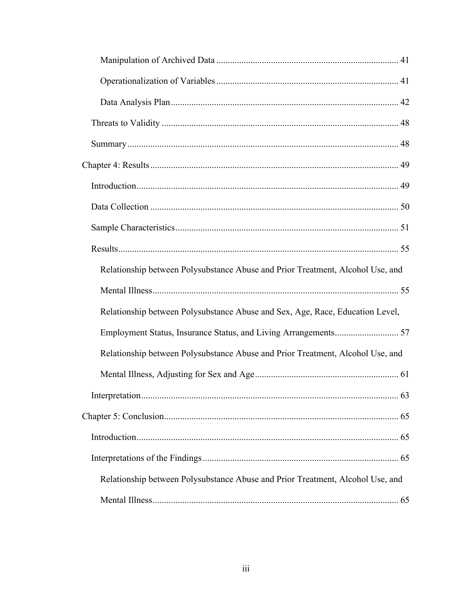| Relationship between Polysubstance Abuse and Prior Treatment, Alcohol Use, and |
|--------------------------------------------------------------------------------|
|                                                                                |
| Relationship between Polysubstance Abuse and Sex, Age, Race, Education Level,  |
|                                                                                |
| Relationship between Polysubstance Abuse and Prior Treatment, Alcohol Use, and |
|                                                                                |
|                                                                                |
|                                                                                |
|                                                                                |
|                                                                                |
| Relationship between Polysubstance Abuse and Prior Treatment, Alcohol Use, and |
|                                                                                |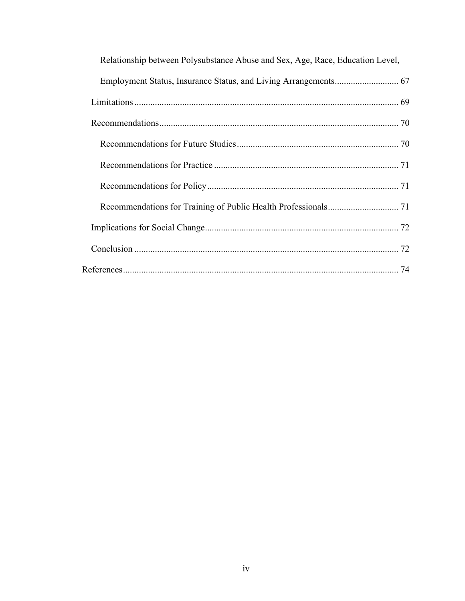| Relationship between Polysubstance Abuse and Sex, Age, Race, Education Level, |
|-------------------------------------------------------------------------------|
|                                                                               |
|                                                                               |
|                                                                               |
|                                                                               |
|                                                                               |
|                                                                               |
|                                                                               |
|                                                                               |
|                                                                               |
|                                                                               |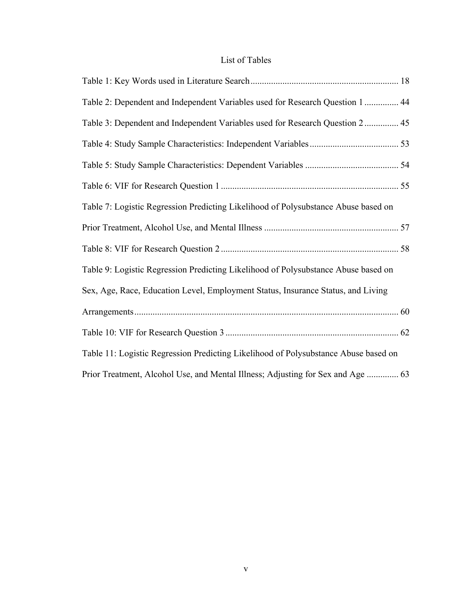# List of Tables

| Table 2: Dependent and Independent Variables used for Research Question 1  44       |  |
|-------------------------------------------------------------------------------------|--|
| Table 3: Dependent and Independent Variables used for Research Question 2 45        |  |
|                                                                                     |  |
|                                                                                     |  |
|                                                                                     |  |
| Table 7: Logistic Regression Predicting Likelihood of Polysubstance Abuse based on  |  |
|                                                                                     |  |
|                                                                                     |  |
| Table 9: Logistic Regression Predicting Likelihood of Polysubstance Abuse based on  |  |
| Sex, Age, Race, Education Level, Employment Status, Insurance Status, and Living    |  |
|                                                                                     |  |
|                                                                                     |  |
| Table 11: Logistic Regression Predicting Likelihood of Polysubstance Abuse based on |  |
| Prior Treatment, Alcohol Use, and Mental Illness; Adjusting for Sex and Age  63     |  |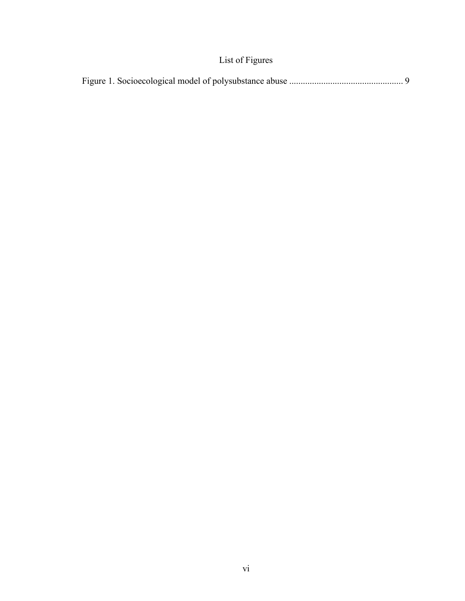# List of Figures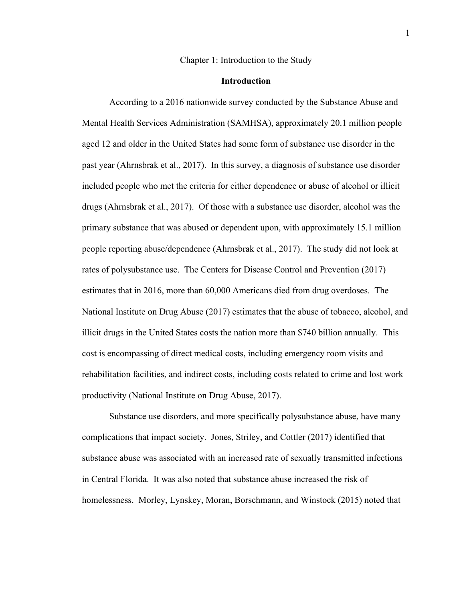#### Chapter 1: Introduction to the Study

# **Introduction**

According to a 2016 nationwide survey conducted by the Substance Abuse and Mental Health Services Administration (SAMHSA), approximately 20.1 million people aged 12 and older in the United States had some form of substance use disorder in the past year (Ahrnsbrak et al., 2017). In this survey, a diagnosis of substance use disorder included people who met the criteria for either dependence or abuse of alcohol or illicit drugs (Ahrnsbrak et al., 2017). Of those with a substance use disorder, alcohol was the primary substance that was abused or dependent upon, with approximately 15.1 million people reporting abuse/dependence (Ahrnsbrak et al., 2017). The study did not look at rates of polysubstance use. The Centers for Disease Control and Prevention (2017) estimates that in 2016, more than 60,000 Americans died from drug overdoses. The National Institute on Drug Abuse (2017) estimates that the abuse of tobacco, alcohol, and illicit drugs in the United States costs the nation more than \$740 billion annually. This cost is encompassing of direct medical costs, including emergency room visits and rehabilitation facilities, and indirect costs, including costs related to crime and lost work productivity (National Institute on Drug Abuse, 2017).

Substance use disorders, and more specifically polysubstance abuse, have many complications that impact society. Jones, Striley, and Cottler (2017) identified that substance abuse was associated with an increased rate of sexually transmitted infections in Central Florida. It was also noted that substance abuse increased the risk of homelessness. Morley, Lynskey, Moran, Borschmann, and Winstock (2015) noted that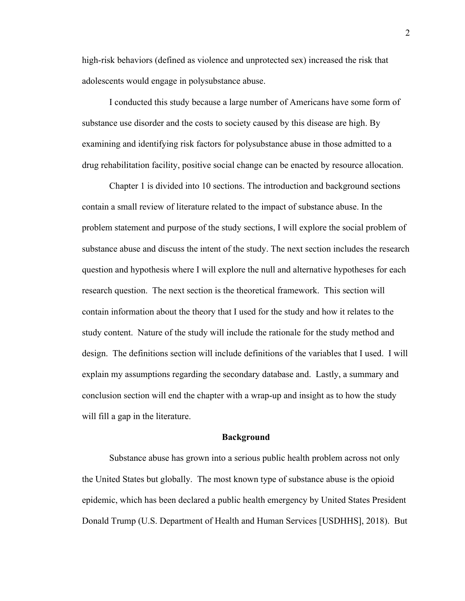high-risk behaviors (defined as violence and unprotected sex) increased the risk that adolescents would engage in polysubstance abuse.

I conducted this study because a large number of Americans have some form of substance use disorder and the costs to society caused by this disease are high. By examining and identifying risk factors for polysubstance abuse in those admitted to a drug rehabilitation facility, positive social change can be enacted by resource allocation.

Chapter 1 is divided into 10 sections. The introduction and background sections contain a small review of literature related to the impact of substance abuse. In the problem statement and purpose of the study sections, I will explore the social problem of substance abuse and discuss the intent of the study. The next section includes the research question and hypothesis where I will explore the null and alternative hypotheses for each research question. The next section is the theoretical framework. This section will contain information about the theory that I used for the study and how it relates to the study content. Nature of the study will include the rationale for the study method and design. The definitions section will include definitions of the variables that I used. I will explain my assumptions regarding the secondary database and. Lastly, a summary and conclusion section will end the chapter with a wrap-up and insight as to how the study will fill a gap in the literature.

#### **Background**

Substance abuse has grown into a serious public health problem across not only the United States but globally. The most known type of substance abuse is the opioid epidemic, which has been declared a public health emergency by United States President Donald Trump (U.S. Department of Health and Human Services [USDHHS], 2018). But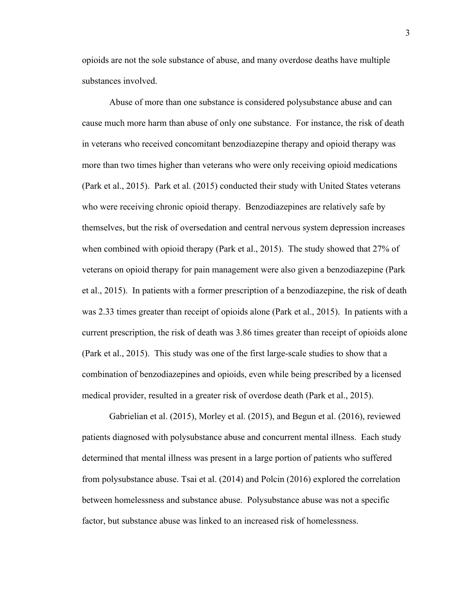opioids are not the sole substance of abuse, and many overdose deaths have multiple substances involved.

Abuse of more than one substance is considered polysubstance abuse and can cause much more harm than abuse of only one substance. For instance, the risk of death in veterans who received concomitant benzodiazepine therapy and opioid therapy was more than two times higher than veterans who were only receiving opioid medications (Park et al., 2015). Park et al. (2015) conducted their study with United States veterans who were receiving chronic opioid therapy. Benzodiazepines are relatively safe by themselves, but the risk of oversedation and central nervous system depression increases when combined with opioid therapy (Park et al., 2015). The study showed that 27% of veterans on opioid therapy for pain management were also given a benzodiazepine (Park et al., 2015). In patients with a former prescription of a benzodiazepine, the risk of death was 2.33 times greater than receipt of opioids alone (Park et al., 2015). In patients with a current prescription, the risk of death was 3.86 times greater than receipt of opioids alone (Park et al., 2015). This study was one of the first large-scale studies to show that a combination of benzodiazepines and opioids, even while being prescribed by a licensed medical provider, resulted in a greater risk of overdose death (Park et al., 2015).

Gabrielian et al. (2015), Morley et al. (2015), and Begun et al. (2016), reviewed patients diagnosed with polysubstance abuse and concurrent mental illness. Each study determined that mental illness was present in a large portion of patients who suffered from polysubstance abuse. Tsai et al. (2014) and Polcin (2016) explored the correlation between homelessness and substance abuse. Polysubstance abuse was not a specific factor, but substance abuse was linked to an increased risk of homelessness.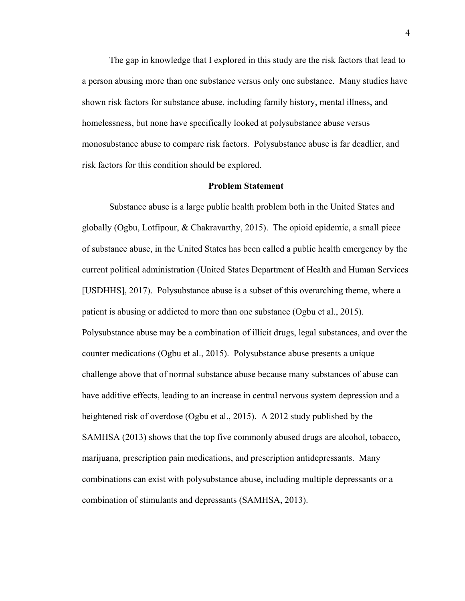The gap in knowledge that I explored in this study are the risk factors that lead to a person abusing more than one substance versus only one substance. Many studies have shown risk factors for substance abuse, including family history, mental illness, and homelessness, but none have specifically looked at polysubstance abuse versus monosubstance abuse to compare risk factors. Polysubstance abuse is far deadlier, and risk factors for this condition should be explored.

### **Problem Statement**

Substance abuse is a large public health problem both in the United States and globally (Ogbu, Lotfipour, & Chakravarthy, 2015). The opioid epidemic, a small piece of substance abuse, in the United States has been called a public health emergency by the current political administration (United States Department of Health and Human Services [USDHHS], 2017). Polysubstance abuse is a subset of this overarching theme, where a patient is abusing or addicted to more than one substance (Ogbu et al., 2015). Polysubstance abuse may be a combination of illicit drugs, legal substances, and over the counter medications (Ogbu et al., 2015). Polysubstance abuse presents a unique challenge above that of normal substance abuse because many substances of abuse can have additive effects, leading to an increase in central nervous system depression and a heightened risk of overdose (Ogbu et al., 2015). A 2012 study published by the SAMHSA (2013) shows that the top five commonly abused drugs are alcohol, tobacco, marijuana, prescription pain medications, and prescription antidepressants. Many combinations can exist with polysubstance abuse, including multiple depressants or a combination of stimulants and depressants (SAMHSA, 2013).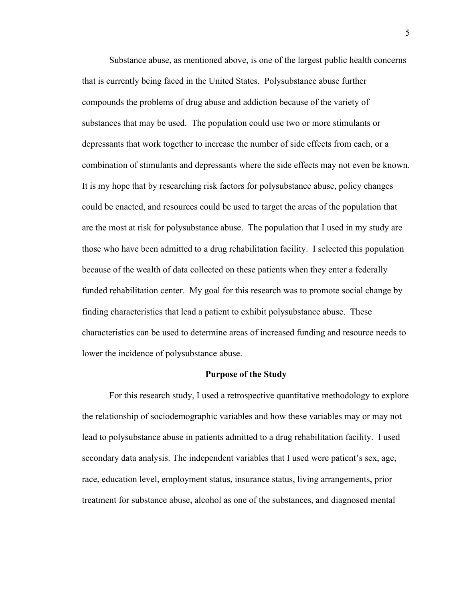Substance abuse, as mentioned above, is one of the largest public health concerns that is currently being faced in the United States. Polysubstance abuse further compounds the problems of drug abuse and addiction because of the variety of substances that may be used. The population could use two or more stimulants or depressants that work together to increase the number of side effects from each, or a combination of stimulants and depressants where the side effects may not even be known. It is my hope that by researching risk factors for polysubstance abuse, policy changes could be enacted, and resources could be used to target the areas of the population that are the most at risk for polysubstance abuse. The population that I used in my study are those who have been admitted to a drug rehabilitation facility. I selected this population because of the wealth of data collected on these patients when they enter a federally funded rehabilitation center. My goal for this research was to promote social change by finding characteristics that lead a patient to exhibit polysubstance abuse. These characteristics can be used to determine areas of increased funding and resource needs to lower the incidence of polysubstance abuse.

#### **Purpose of the Study**

For this research study, I used a retrospective quantitative methodology to explore the relationship of sociodemographic variables and how these variables may or may not lead to polysubstance abuse in patients admitted to a drug rehabilitation facility. I used secondary data analysis. The independent variables that I used were patient's sex, age, race, education level, employment status, insurance status, living arrangements, prior treatment for substance abuse, alcohol as one of the substances, and diagnosed mental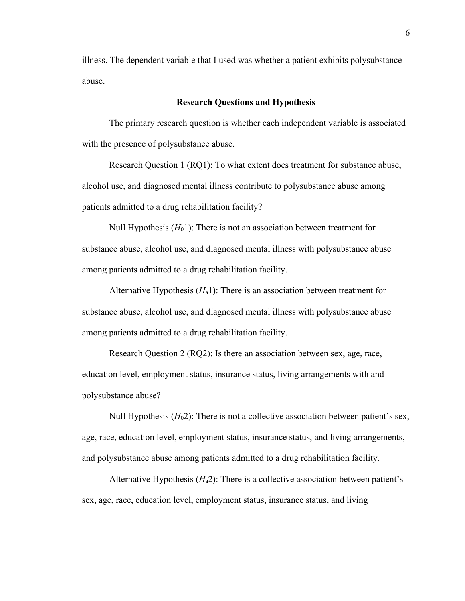illness. The dependent variable that I used was whether a patient exhibits polysubstance abuse.

# **Research Questions and Hypothesis**

The primary research question is whether each independent variable is associated with the presence of polysubstance abuse.

Research Question 1 (RQ1): To what extent does treatment for substance abuse, alcohol use, and diagnosed mental illness contribute to polysubstance abuse among patients admitted to a drug rehabilitation facility?

Null Hypothesis (*H*01): There is not an association between treatment for substance abuse, alcohol use, and diagnosed mental illness with polysubstance abuse among patients admitted to a drug rehabilitation facility.

Alternative Hypothesis (*H*a1): There is an association between treatment for substance abuse, alcohol use, and diagnosed mental illness with polysubstance abuse among patients admitted to a drug rehabilitation facility.

Research Question 2 (RQ2): Is there an association between sex, age, race, education level, employment status, insurance status, living arrangements with and polysubstance abuse?

Null Hypothesis  $(H<sub>0</sub>2)$ : There is not a collective association between patient's sex, age, race, education level, employment status, insurance status, and living arrangements, and polysubstance abuse among patients admitted to a drug rehabilitation facility.

Alternative Hypothesis (*H*a2): There is a collective association between patient's sex, age, race, education level, employment status, insurance status, and living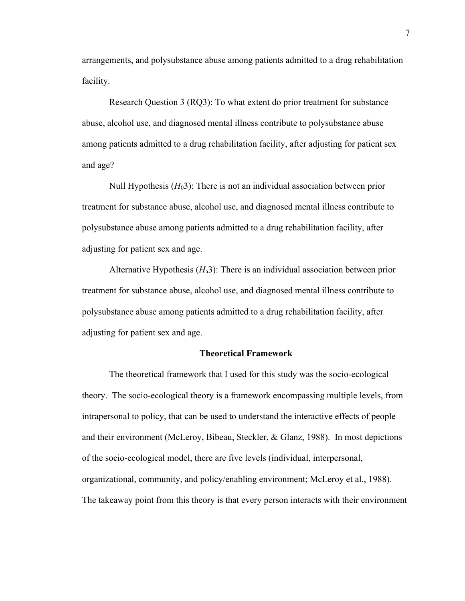arrangements, and polysubstance abuse among patients admitted to a drug rehabilitation facility.

Research Question 3 (RQ3): To what extent do prior treatment for substance abuse, alcohol use, and diagnosed mental illness contribute to polysubstance abuse among patients admitted to a drug rehabilitation facility, after adjusting for patient sex and age?

Null Hypothesis (*H*03): There is not an individual association between prior treatment for substance abuse, alcohol use, and diagnosed mental illness contribute to polysubstance abuse among patients admitted to a drug rehabilitation facility, after adjusting for patient sex and age.

Alternative Hypothesis (*H*a3): There is an individual association between prior treatment for substance abuse, alcohol use, and diagnosed mental illness contribute to polysubstance abuse among patients admitted to a drug rehabilitation facility, after adjusting for patient sex and age.

### **Theoretical Framework**

The theoretical framework that I used for this study was the socio-ecological theory. The socio-ecological theory is a framework encompassing multiple levels, from intrapersonal to policy, that can be used to understand the interactive effects of people and their environment (McLeroy, Bibeau, Steckler, & Glanz, 1988). In most depictions of the socio-ecological model, there are five levels (individual, interpersonal, organizational, community, and policy/enabling environment; McLeroy et al., 1988). The takeaway point from this theory is that every person interacts with their environment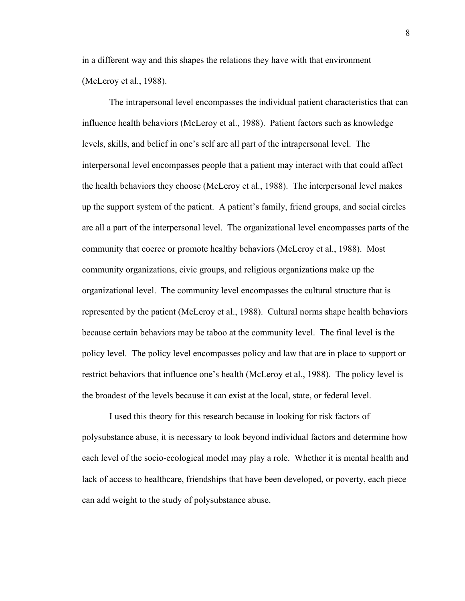in a different way and this shapes the relations they have with that environment (McLeroy et al., 1988).

The intrapersonal level encompasses the individual patient characteristics that can influence health behaviors (McLeroy et al., 1988). Patient factors such as knowledge levels, skills, and belief in one's self are all part of the intrapersonal level. The interpersonal level encompasses people that a patient may interact with that could affect the health behaviors they choose (McLeroy et al., 1988). The interpersonal level makes up the support system of the patient. A patient's family, friend groups, and social circles are all a part of the interpersonal level. The organizational level encompasses parts of the community that coerce or promote healthy behaviors (McLeroy et al., 1988). Most community organizations, civic groups, and religious organizations make up the organizational level. The community level encompasses the cultural structure that is represented by the patient (McLeroy et al., 1988). Cultural norms shape health behaviors because certain behaviors may be taboo at the community level. The final level is the policy level. The policy level encompasses policy and law that are in place to support or restrict behaviors that influence one's health (McLeroy et al., 1988). The policy level is the broadest of the levels because it can exist at the local, state, or federal level.

I used this theory for this research because in looking for risk factors of polysubstance abuse, it is necessary to look beyond individual factors and determine how each level of the socio-ecological model may play a role. Whether it is mental health and lack of access to healthcare, friendships that have been developed, or poverty, each piece can add weight to the study of polysubstance abuse.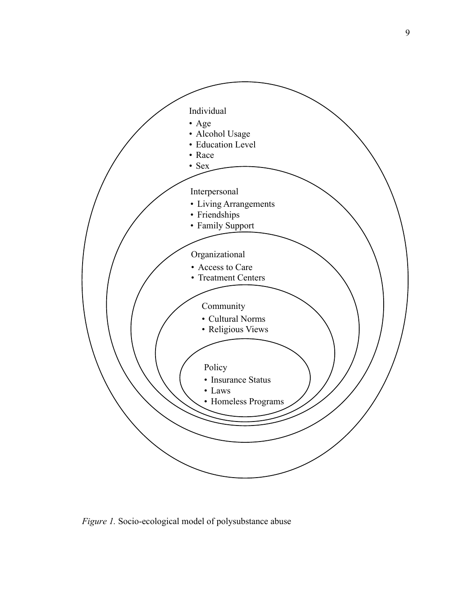

*Figure 1.* Socio-ecological model of polysubstance abuse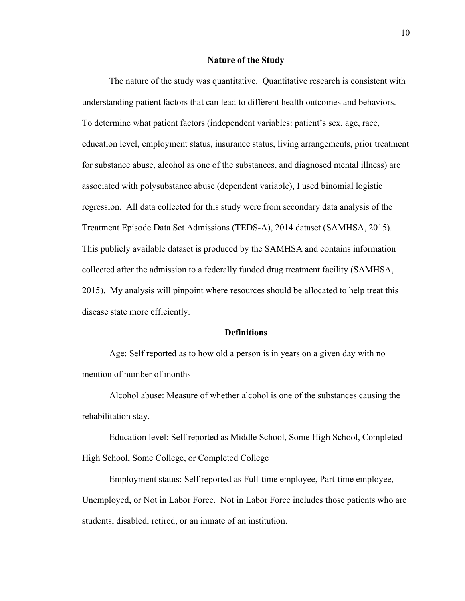#### **Nature of the Study**

The nature of the study was quantitative. Quantitative research is consistent with understanding patient factors that can lead to different health outcomes and behaviors. To determine what patient factors (independent variables: patient's sex, age, race, education level, employment status, insurance status, living arrangements, prior treatment for substance abuse, alcohol as one of the substances, and diagnosed mental illness) are associated with polysubstance abuse (dependent variable), I used binomial logistic regression. All data collected for this study were from secondary data analysis of the Treatment Episode Data Set Admissions (TEDS-A), 2014 dataset (SAMHSA, 2015). This publicly available dataset is produced by the SAMHSA and contains information collected after the admission to a federally funded drug treatment facility (SAMHSA, 2015). My analysis will pinpoint where resources should be allocated to help treat this disease state more efficiently.

# **Definitions**

Age: Self reported as to how old a person is in years on a given day with no mention of number of months

Alcohol abuse: Measure of whether alcohol is one of the substances causing the rehabilitation stay.

Education level: Self reported as Middle School, Some High School, Completed High School, Some College, or Completed College

Employment status: Self reported as Full-time employee, Part-time employee, Unemployed, or Not in Labor Force. Not in Labor Force includes those patients who are students, disabled, retired, or an inmate of an institution.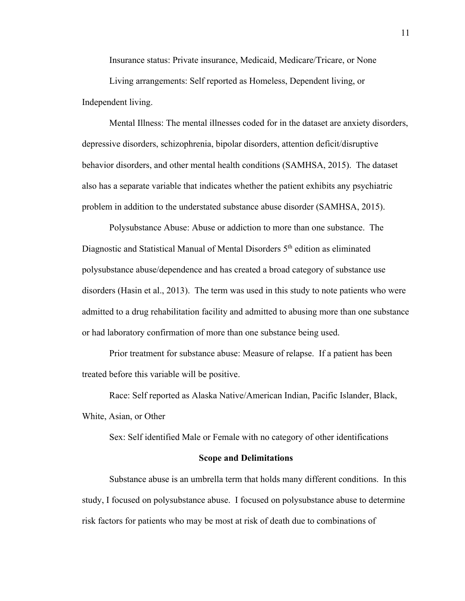Insurance status: Private insurance, Medicaid, Medicare/Tricare, or None

Living arrangements: Self reported as Homeless, Dependent living, or Independent living.

Mental Illness: The mental illnesses coded for in the dataset are anxiety disorders, depressive disorders, schizophrenia, bipolar disorders, attention deficit/disruptive behavior disorders, and other mental health conditions (SAMHSA, 2015). The dataset also has a separate variable that indicates whether the patient exhibits any psychiatric problem in addition to the understated substance abuse disorder (SAMHSA, 2015).

Polysubstance Abuse: Abuse or addiction to more than one substance. The Diagnostic and Statistical Manual of Mental Disorders 5<sup>th</sup> edition as eliminated polysubstance abuse/dependence and has created a broad category of substance use disorders (Hasin et al., 2013). The term was used in this study to note patients who were admitted to a drug rehabilitation facility and admitted to abusing more than one substance or had laboratory confirmation of more than one substance being used.

Prior treatment for substance abuse: Measure of relapse. If a patient has been treated before this variable will be positive.

Race: Self reported as Alaska Native/American Indian, Pacific Islander, Black, White, Asian, or Other

Sex: Self identified Male or Female with no category of other identifications

#### **Scope and Delimitations**

Substance abuse is an umbrella term that holds many different conditions. In this study, I focused on polysubstance abuse. I focused on polysubstance abuse to determine risk factors for patients who may be most at risk of death due to combinations of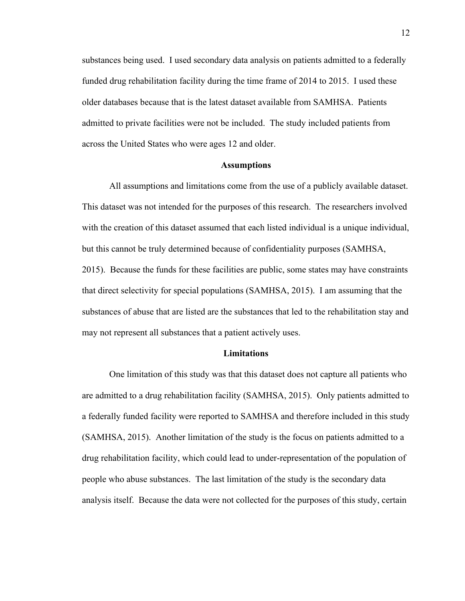substances being used. I used secondary data analysis on patients admitted to a federally funded drug rehabilitation facility during the time frame of 2014 to 2015. I used these older databases because that is the latest dataset available from SAMHSA. Patients admitted to private facilities were not be included. The study included patients from across the United States who were ages 12 and older.

#### **Assumptions**

All assumptions and limitations come from the use of a publicly available dataset. This dataset was not intended for the purposes of this research. The researchers involved with the creation of this dataset assumed that each listed individual is a unique individual, but this cannot be truly determined because of confidentiality purposes (SAMHSA, 2015). Because the funds for these facilities are public, some states may have constraints that direct selectivity for special populations (SAMHSA, 2015). I am assuming that the substances of abuse that are listed are the substances that led to the rehabilitation stay and may not represent all substances that a patient actively uses.

# **Limitations**

One limitation of this study was that this dataset does not capture all patients who are admitted to a drug rehabilitation facility (SAMHSA, 2015). Only patients admitted to a federally funded facility were reported to SAMHSA and therefore included in this study (SAMHSA, 2015). Another limitation of the study is the focus on patients admitted to a drug rehabilitation facility, which could lead to under-representation of the population of people who abuse substances. The last limitation of the study is the secondary data analysis itself. Because the data were not collected for the purposes of this study, certain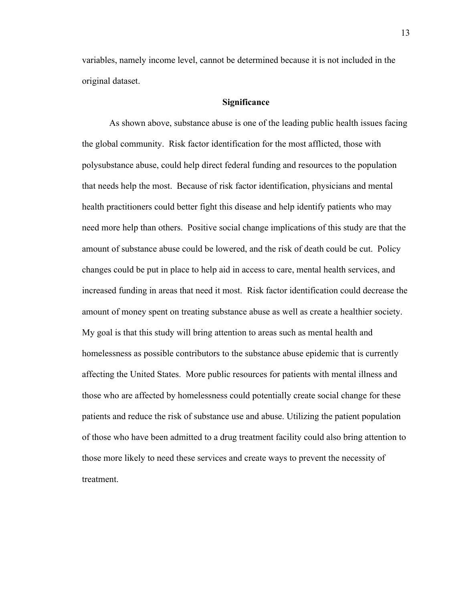variables, namely income level, cannot be determined because it is not included in the original dataset.

# **Significance**

As shown above, substance abuse is one of the leading public health issues facing the global community. Risk factor identification for the most afflicted, those with polysubstance abuse, could help direct federal funding and resources to the population that needs help the most. Because of risk factor identification, physicians and mental health practitioners could better fight this disease and help identify patients who may need more help than others. Positive social change implications of this study are that the amount of substance abuse could be lowered, and the risk of death could be cut. Policy changes could be put in place to help aid in access to care, mental health services, and increased funding in areas that need it most. Risk factor identification could decrease the amount of money spent on treating substance abuse as well as create a healthier society. My goal is that this study will bring attention to areas such as mental health and homelessness as possible contributors to the substance abuse epidemic that is currently affecting the United States. More public resources for patients with mental illness and those who are affected by homelessness could potentially create social change for these patients and reduce the risk of substance use and abuse. Utilizing the patient population of those who have been admitted to a drug treatment facility could also bring attention to those more likely to need these services and create ways to prevent the necessity of treatment.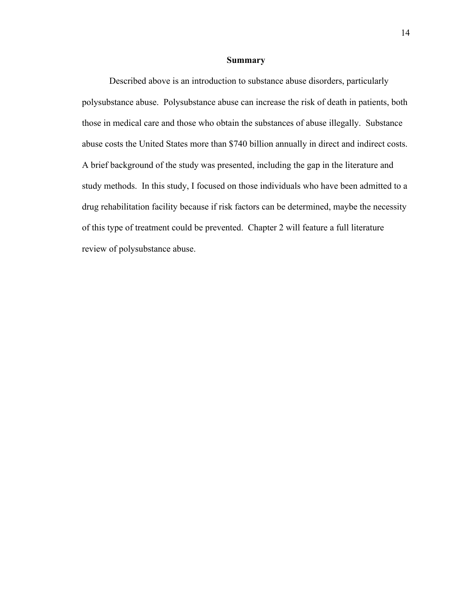### **Summary**

Described above is an introduction to substance abuse disorders, particularly polysubstance abuse. Polysubstance abuse can increase the risk of death in patients, both those in medical care and those who obtain the substances of abuse illegally. Substance abuse costs the United States more than \$740 billion annually in direct and indirect costs. A brief background of the study was presented, including the gap in the literature and study methods. In this study, I focused on those individuals who have been admitted to a drug rehabilitation facility because if risk factors can be determined, maybe the necessity of this type of treatment could be prevented. Chapter 2 will feature a full literature review of polysubstance abuse.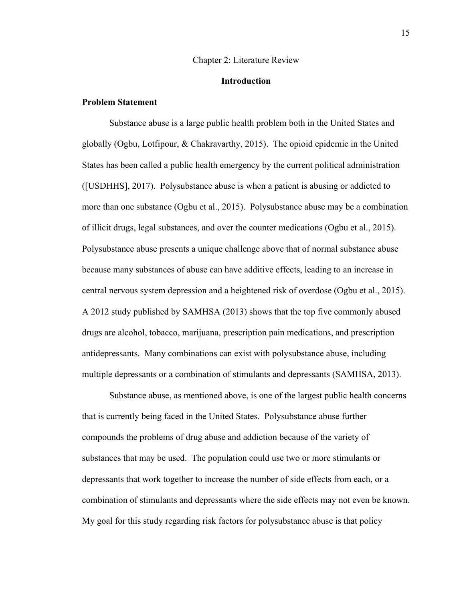#### Chapter 2: Literature Review

# **Introduction**

# **Problem Statement**

Substance abuse is a large public health problem both in the United States and globally (Ogbu, Lotfipour, & Chakravarthy, 2015). The opioid epidemic in the United States has been called a public health emergency by the current political administration ([USDHHS], 2017). Polysubstance abuse is when a patient is abusing or addicted to more than one substance (Ogbu et al., 2015). Polysubstance abuse may be a combination of illicit drugs, legal substances, and over the counter medications (Ogbu et al., 2015). Polysubstance abuse presents a unique challenge above that of normal substance abuse because many substances of abuse can have additive effects, leading to an increase in central nervous system depression and a heightened risk of overdose (Ogbu et al., 2015). A 2012 study published by SAMHSA (2013) shows that the top five commonly abused drugs are alcohol, tobacco, marijuana, prescription pain medications, and prescription antidepressants. Many combinations can exist with polysubstance abuse, including multiple depressants or a combination of stimulants and depressants (SAMHSA, 2013).

Substance abuse, as mentioned above, is one of the largest public health concerns that is currently being faced in the United States. Polysubstance abuse further compounds the problems of drug abuse and addiction because of the variety of substances that may be used. The population could use two or more stimulants or depressants that work together to increase the number of side effects from each, or a combination of stimulants and depressants where the side effects may not even be known. My goal for this study regarding risk factors for polysubstance abuse is that policy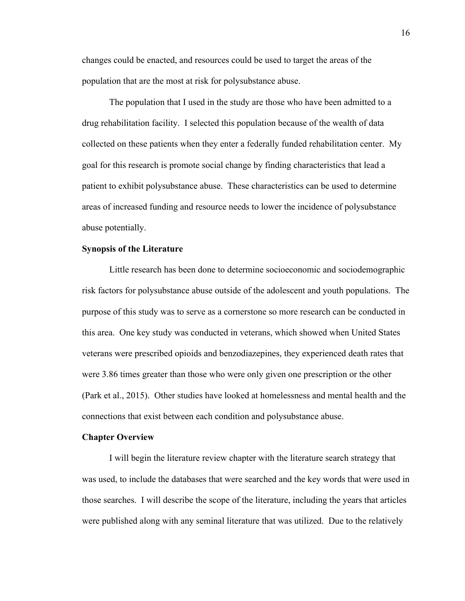changes could be enacted, and resources could be used to target the areas of the population that are the most at risk for polysubstance abuse.

The population that I used in the study are those who have been admitted to a drug rehabilitation facility. I selected this population because of the wealth of data collected on these patients when they enter a federally funded rehabilitation center. My goal for this research is promote social change by finding characteristics that lead a patient to exhibit polysubstance abuse. These characteristics can be used to determine areas of increased funding and resource needs to lower the incidence of polysubstance abuse potentially.

### **Synopsis of the Literature**

Little research has been done to determine socioeconomic and sociodemographic risk factors for polysubstance abuse outside of the adolescent and youth populations. The purpose of this study was to serve as a cornerstone so more research can be conducted in this area. One key study was conducted in veterans, which showed when United States veterans were prescribed opioids and benzodiazepines, they experienced death rates that were 3.86 times greater than those who were only given one prescription or the other (Park et al., 2015). Other studies have looked at homelessness and mental health and the connections that exist between each condition and polysubstance abuse.

#### **Chapter Overview**

I will begin the literature review chapter with the literature search strategy that was used, to include the databases that were searched and the key words that were used in those searches. I will describe the scope of the literature, including the years that articles were published along with any seminal literature that was utilized. Due to the relatively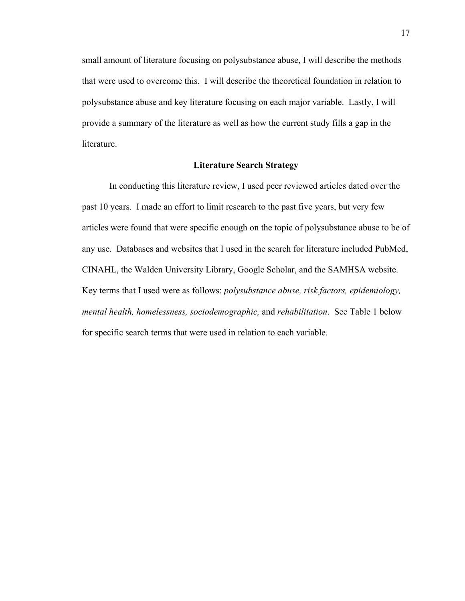small amount of literature focusing on polysubstance abuse, I will describe the methods that were used to overcome this. I will describe the theoretical foundation in relation to polysubstance abuse and key literature focusing on each major variable. Lastly, I will provide a summary of the literature as well as how the current study fills a gap in the literature.

# **Literature Search Strategy**

In conducting this literature review, I used peer reviewed articles dated over the past 10 years. I made an effort to limit research to the past five years, but very few articles were found that were specific enough on the topic of polysubstance abuse to be of any use. Databases and websites that I used in the search for literature included PubMed, CINAHL, the Walden University Library, Google Scholar, and the SAMHSA website. Key terms that I used were as follows: *polysubstance abuse, risk factors, epidemiology, mental health, homelessness, sociodemographic,* and *rehabilitation*. See Table 1 below for specific search terms that were used in relation to each variable.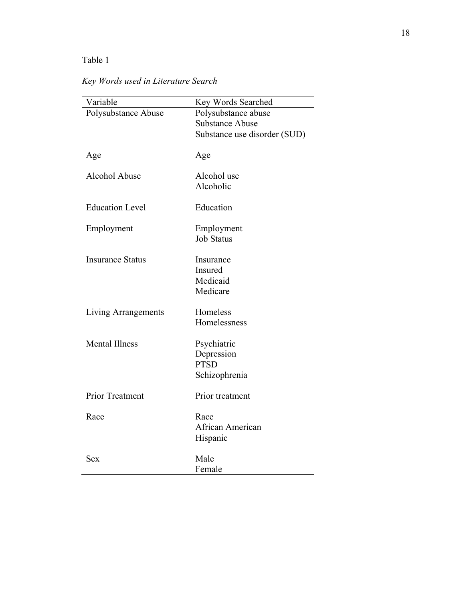# Table 1

*Key Words used in Literature Search*

| Polysubstance Abuse<br>Polysubstance abuse<br><b>Substance Abuse</b><br>Substance use disorder (SUD)<br>Age<br>Age<br><b>Alcohol Abuse</b><br>Alcohol use<br>Alcoholic<br><b>Education Level</b><br>Education<br>Employment<br>Employment<br><b>Job Status</b><br><b>Insurance Status</b><br>Insurance<br>Insured<br>Medicaid<br>Medicare<br>Homeless<br>Living Arrangements<br>Homelessness<br><b>Mental Illness</b><br>Psychiatric<br>Depression<br><b>PTSD</b><br>Schizophrenia<br><b>Prior Treatment</b><br>Prior treatment<br>Race<br>Race<br>African American<br>Hispanic<br>Male<br>Sex | Variable | Key Words Searched |
|------------------------------------------------------------------------------------------------------------------------------------------------------------------------------------------------------------------------------------------------------------------------------------------------------------------------------------------------------------------------------------------------------------------------------------------------------------------------------------------------------------------------------------------------------------------------------------------------|----------|--------------------|
|                                                                                                                                                                                                                                                                                                                                                                                                                                                                                                                                                                                                |          |                    |
|                                                                                                                                                                                                                                                                                                                                                                                                                                                                                                                                                                                                |          |                    |
|                                                                                                                                                                                                                                                                                                                                                                                                                                                                                                                                                                                                |          |                    |
|                                                                                                                                                                                                                                                                                                                                                                                                                                                                                                                                                                                                |          |                    |
|                                                                                                                                                                                                                                                                                                                                                                                                                                                                                                                                                                                                |          |                    |
|                                                                                                                                                                                                                                                                                                                                                                                                                                                                                                                                                                                                |          |                    |
|                                                                                                                                                                                                                                                                                                                                                                                                                                                                                                                                                                                                |          |                    |
|                                                                                                                                                                                                                                                                                                                                                                                                                                                                                                                                                                                                |          |                    |
|                                                                                                                                                                                                                                                                                                                                                                                                                                                                                                                                                                                                |          |                    |
|                                                                                                                                                                                                                                                                                                                                                                                                                                                                                                                                                                                                |          |                    |
|                                                                                                                                                                                                                                                                                                                                                                                                                                                                                                                                                                                                |          |                    |
|                                                                                                                                                                                                                                                                                                                                                                                                                                                                                                                                                                                                |          |                    |
|                                                                                                                                                                                                                                                                                                                                                                                                                                                                                                                                                                                                |          |                    |
|                                                                                                                                                                                                                                                                                                                                                                                                                                                                                                                                                                                                |          |                    |
|                                                                                                                                                                                                                                                                                                                                                                                                                                                                                                                                                                                                |          |                    |
|                                                                                                                                                                                                                                                                                                                                                                                                                                                                                                                                                                                                |          |                    |
|                                                                                                                                                                                                                                                                                                                                                                                                                                                                                                                                                                                                |          |                    |
|                                                                                                                                                                                                                                                                                                                                                                                                                                                                                                                                                                                                |          |                    |
|                                                                                                                                                                                                                                                                                                                                                                                                                                                                                                                                                                                                |          |                    |
|                                                                                                                                                                                                                                                                                                                                                                                                                                                                                                                                                                                                |          |                    |
|                                                                                                                                                                                                                                                                                                                                                                                                                                                                                                                                                                                                |          |                    |
|                                                                                                                                                                                                                                                                                                                                                                                                                                                                                                                                                                                                |          |                    |
|                                                                                                                                                                                                                                                                                                                                                                                                                                                                                                                                                                                                |          |                    |
|                                                                                                                                                                                                                                                                                                                                                                                                                                                                                                                                                                                                |          |                    |
|                                                                                                                                                                                                                                                                                                                                                                                                                                                                                                                                                                                                |          |                    |
|                                                                                                                                                                                                                                                                                                                                                                                                                                                                                                                                                                                                |          | Female             |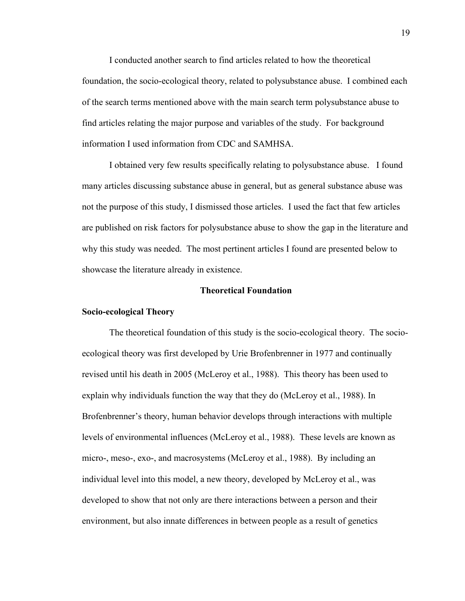I conducted another search to find articles related to how the theoretical foundation, the socio-ecological theory, related to polysubstance abuse. I combined each of the search terms mentioned above with the main search term polysubstance abuse to find articles relating the major purpose and variables of the study. For background information I used information from CDC and SAMHSA.

I obtained very few results specifically relating to polysubstance abuse. I found many articles discussing substance abuse in general, but as general substance abuse was not the purpose of this study, I dismissed those articles. I used the fact that few articles are published on risk factors for polysubstance abuse to show the gap in the literature and why this study was needed. The most pertinent articles I found are presented below to showcase the literature already in existence.

# **Theoretical Foundation**

# **Socio-ecological Theory**

The theoretical foundation of this study is the socio-ecological theory. The socioecological theory was first developed by Urie Brofenbrenner in 1977 and continually revised until his death in 2005 (McLeroy et al., 1988). This theory has been used to explain why individuals function the way that they do (McLeroy et al., 1988). In Brofenbrenner's theory, human behavior develops through interactions with multiple levels of environmental influences (McLeroy et al., 1988). These levels are known as micro-, meso-, exo-, and macrosystems (McLeroy et al., 1988). By including an individual level into this model, a new theory, developed by McLeroy et al., was developed to show that not only are there interactions between a person and their environment, but also innate differences in between people as a result of genetics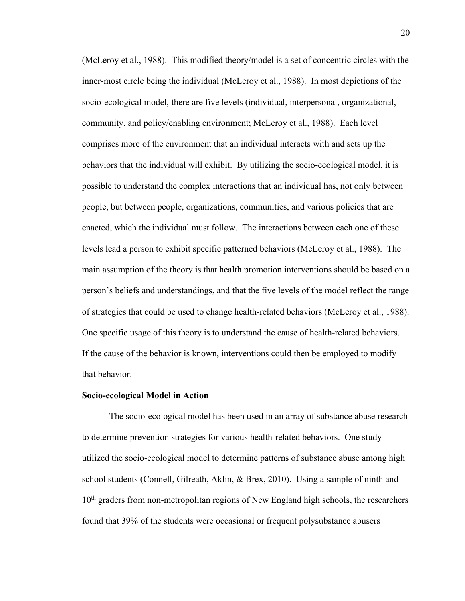(McLeroy et al., 1988). This modified theory/model is a set of concentric circles with the inner-most circle being the individual (McLeroy et al., 1988). In most depictions of the socio-ecological model, there are five levels (individual, interpersonal, organizational, community, and policy/enabling environment; McLeroy et al., 1988). Each level comprises more of the environment that an individual interacts with and sets up the behaviors that the individual will exhibit. By utilizing the socio-ecological model, it is possible to understand the complex interactions that an individual has, not only between people, but between people, organizations, communities, and various policies that are enacted, which the individual must follow. The interactions between each one of these levels lead a person to exhibit specific patterned behaviors (McLeroy et al., 1988). The main assumption of the theory is that health promotion interventions should be based on a person's beliefs and understandings, and that the five levels of the model reflect the range of strategies that could be used to change health-related behaviors (McLeroy et al., 1988). One specific usage of this theory is to understand the cause of health-related behaviors. If the cause of the behavior is known, interventions could then be employed to modify that behavior.

#### **Socio-ecological Model in Action**

The socio-ecological model has been used in an array of substance abuse research to determine prevention strategies for various health-related behaviors. One study utilized the socio-ecological model to determine patterns of substance abuse among high school students (Connell, Gilreath, Aklin, & Brex, 2010). Using a sample of ninth and  $10<sup>th</sup>$  graders from non-metropolitan regions of New England high schools, the researchers found that 39% of the students were occasional or frequent polysubstance abusers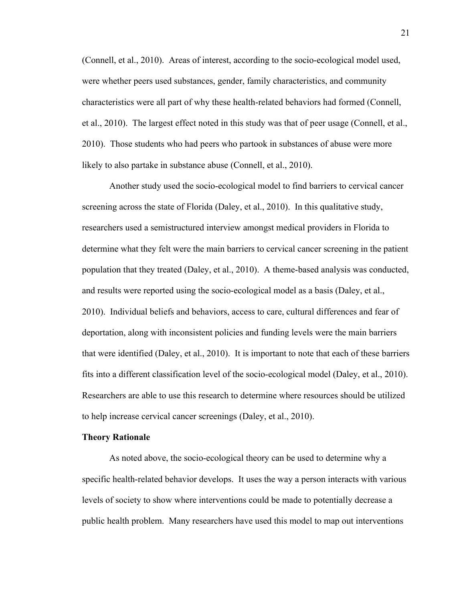(Connell, et al., 2010). Areas of interest, according to the socio-ecological model used, were whether peers used substances, gender, family characteristics, and community characteristics were all part of why these health-related behaviors had formed (Connell, et al., 2010). The largest effect noted in this study was that of peer usage (Connell, et al., 2010). Those students who had peers who partook in substances of abuse were more likely to also partake in substance abuse (Connell, et al., 2010).

Another study used the socio-ecological model to find barriers to cervical cancer screening across the state of Florida (Daley, et al., 2010). In this qualitative study, researchers used a semistructured interview amongst medical providers in Florida to determine what they felt were the main barriers to cervical cancer screening in the patient population that they treated (Daley, et al., 2010). A theme-based analysis was conducted, and results were reported using the socio-ecological model as a basis (Daley, et al., 2010). Individual beliefs and behaviors, access to care, cultural differences and fear of deportation, along with inconsistent policies and funding levels were the main barriers that were identified (Daley, et al., 2010). It is important to note that each of these barriers fits into a different classification level of the socio-ecological model (Daley, et al., 2010). Researchers are able to use this research to determine where resources should be utilized to help increase cervical cancer screenings (Daley, et al., 2010).

#### **Theory Rationale**

As noted above, the socio-ecological theory can be used to determine why a specific health-related behavior develops. It uses the way a person interacts with various levels of society to show where interventions could be made to potentially decrease a public health problem. Many researchers have used this model to map out interventions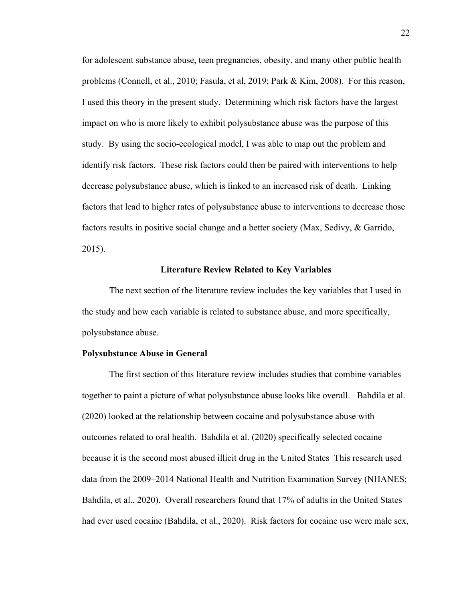for adolescent substance abuse, teen pregnancies, obesity, and many other public health problems (Connell, et al., 2010; Fasula, et al, 2019; Park & Kim, 2008). For this reason, I used this theory in the present study. Determining which risk factors have the largest impact on who is more likely to exhibit polysubstance abuse was the purpose of this study. By using the socio-ecological model, I was able to map out the problem and identify risk factors. These risk factors could then be paired with interventions to help decrease polysubstance abuse, which is linked to an increased risk of death. Linking factors that lead to higher rates of polysubstance abuse to interventions to decrease those factors results in positive social change and a better society (Max, Sedivy, & Garrido, 2015).

#### **Literature Review Related to Key Variables**

The next section of the literature review includes the key variables that I used in the study and how each variable is related to substance abuse, and more specifically, polysubstance abuse.

#### **Polysubstance Abuse in General**

The first section of this literature review includes studies that combine variables together to paint a picture of what polysubstance abuse looks like overall. Bahdila et al. (2020) looked at the relationship between cocaine and polysubstance abuse with outcomes related to oral health. Bahdila et al. (2020) specifically selected cocaine because it is the second most abused illicit drug in the United States This research used data from the 2009–2014 National Health and Nutrition Examination Survey (NHANES; Bahdila, et al., 2020). Overall researchers found that 17% of adults in the United States had ever used cocaine (Bahdila, et al., 2020). Risk factors for cocaine use were male sex,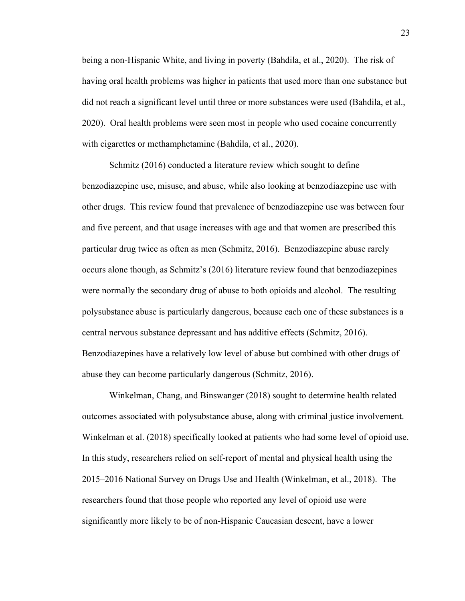being a non-Hispanic White, and living in poverty (Bahdila, et al., 2020). The risk of having oral health problems was higher in patients that used more than one substance but did not reach a significant level until three or more substances were used (Bahdila, et al., 2020). Oral health problems were seen most in people who used cocaine concurrently with cigarettes or methamphetamine (Bahdila, et al., 2020).

Schmitz (2016) conducted a literature review which sought to define benzodiazepine use, misuse, and abuse, while also looking at benzodiazepine use with other drugs. This review found that prevalence of benzodiazepine use was between four and five percent, and that usage increases with age and that women are prescribed this particular drug twice as often as men (Schmitz, 2016). Benzodiazepine abuse rarely occurs alone though, as Schmitz's (2016) literature review found that benzodiazepines were normally the secondary drug of abuse to both opioids and alcohol. The resulting polysubstance abuse is particularly dangerous, because each one of these substances is a central nervous substance depressant and has additive effects (Schmitz, 2016). Benzodiazepines have a relatively low level of abuse but combined with other drugs of abuse they can become particularly dangerous (Schmitz, 2016).

Winkelman, Chang, and Binswanger (2018) sought to determine health related outcomes associated with polysubstance abuse, along with criminal justice involvement. Winkelman et al. (2018) specifically looked at patients who had some level of opioid use. In this study, researchers relied on self-report of mental and physical health using the 2015–2016 National Survey on Drugs Use and Health (Winkelman, et al., 2018). The researchers found that those people who reported any level of opioid use were significantly more likely to be of non-Hispanic Caucasian descent, have a lower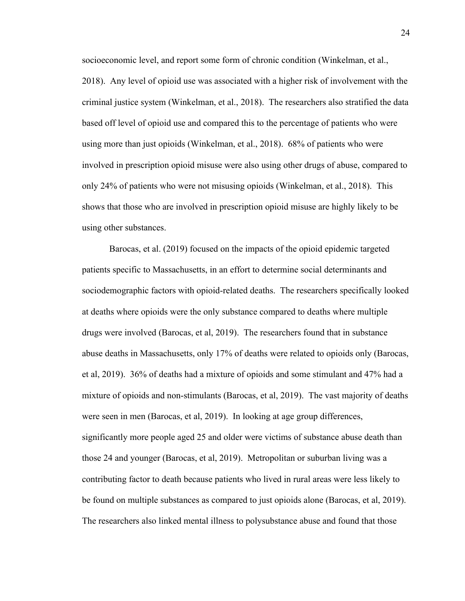socioeconomic level, and report some form of chronic condition (Winkelman, et al., 2018). Any level of opioid use was associated with a higher risk of involvement with the criminal justice system (Winkelman, et al., 2018). The researchers also stratified the data based off level of opioid use and compared this to the percentage of patients who were using more than just opioids (Winkelman, et al., 2018). 68% of patients who were involved in prescription opioid misuse were also using other drugs of abuse, compared to only 24% of patients who were not misusing opioids (Winkelman, et al., 2018). This shows that those who are involved in prescription opioid misuse are highly likely to be using other substances.

Barocas, et al. (2019) focused on the impacts of the opioid epidemic targeted patients specific to Massachusetts, in an effort to determine social determinants and sociodemographic factors with opioid-related deaths. The researchers specifically looked at deaths where opioids were the only substance compared to deaths where multiple drugs were involved (Barocas, et al, 2019). The researchers found that in substance abuse deaths in Massachusetts, only 17% of deaths were related to opioids only (Barocas, et al, 2019). 36% of deaths had a mixture of opioids and some stimulant and 47% had a mixture of opioids and non-stimulants (Barocas, et al, 2019). The vast majority of deaths were seen in men (Barocas, et al, 2019). In looking at age group differences, significantly more people aged 25 and older were victims of substance abuse death than those 24 and younger (Barocas, et al, 2019). Metropolitan or suburban living was a contributing factor to death because patients who lived in rural areas were less likely to be found on multiple substances as compared to just opioids alone (Barocas, et al, 2019). The researchers also linked mental illness to polysubstance abuse and found that those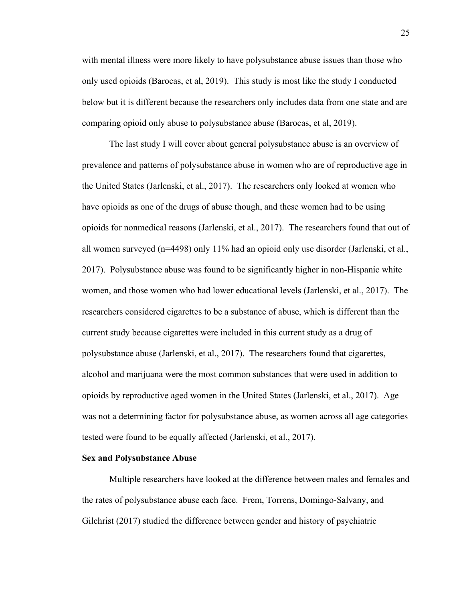with mental illness were more likely to have polysubstance abuse issues than those who only used opioids (Barocas, et al, 2019). This study is most like the study I conducted below but it is different because the researchers only includes data from one state and are comparing opioid only abuse to polysubstance abuse (Barocas, et al, 2019).

The last study I will cover about general polysubstance abuse is an overview of prevalence and patterns of polysubstance abuse in women who are of reproductive age in the United States (Jarlenski, et al., 2017). The researchers only looked at women who have opioids as one of the drugs of abuse though, and these women had to be using opioids for nonmedical reasons (Jarlenski, et al., 2017). The researchers found that out of all women surveyed (n=4498) only 11% had an opioid only use disorder (Jarlenski, et al., 2017). Polysubstance abuse was found to be significantly higher in non-Hispanic white women, and those women who had lower educational levels (Jarlenski, et al., 2017). The researchers considered cigarettes to be a substance of abuse, which is different than the current study because cigarettes were included in this current study as a drug of polysubstance abuse (Jarlenski, et al., 2017). The researchers found that cigarettes, alcohol and marijuana were the most common substances that were used in addition to opioids by reproductive aged women in the United States (Jarlenski, et al., 2017). Age was not a determining factor for polysubstance abuse, as women across all age categories tested were found to be equally affected (Jarlenski, et al., 2017).

#### **Sex and Polysubstance Abuse**

Multiple researchers have looked at the difference between males and females and the rates of polysubstance abuse each face. Frem, Torrens, Domingo-Salvany, and Gilchrist (2017) studied the difference between gender and history of psychiatric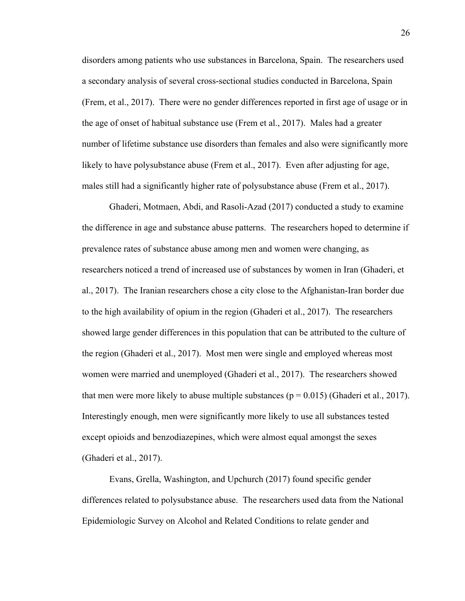disorders among patients who use substances in Barcelona, Spain. The researchers used a secondary analysis of several cross-sectional studies conducted in Barcelona, Spain (Frem, et al., 2017). There were no gender differences reported in first age of usage or in the age of onset of habitual substance use (Frem et al., 2017). Males had a greater number of lifetime substance use disorders than females and also were significantly more likely to have polysubstance abuse (Frem et al., 2017). Even after adjusting for age, males still had a significantly higher rate of polysubstance abuse (Frem et al., 2017).

Ghaderi, Motmaen, Abdi, and Rasoli-Azad (2017) conducted a study to examine the difference in age and substance abuse patterns. The researchers hoped to determine if prevalence rates of substance abuse among men and women were changing, as researchers noticed a trend of increased use of substances by women in Iran (Ghaderi, et al., 2017). The Iranian researchers chose a city close to the Afghanistan-Iran border due to the high availability of opium in the region (Ghaderi et al., 2017). The researchers showed large gender differences in this population that can be attributed to the culture of the region (Ghaderi et al., 2017). Most men were single and employed whereas most women were married and unemployed (Ghaderi et al., 2017). The researchers showed that men were more likely to abuse multiple substances ( $p = 0.015$ ) (Ghaderi et al., 2017). Interestingly enough, men were significantly more likely to use all substances tested except opioids and benzodiazepines, which were almost equal amongst the sexes (Ghaderi et al., 2017).

Evans, Grella, Washington, and Upchurch (2017) found specific gender differences related to polysubstance abuse. The researchers used data from the National Epidemiologic Survey on Alcohol and Related Conditions to relate gender and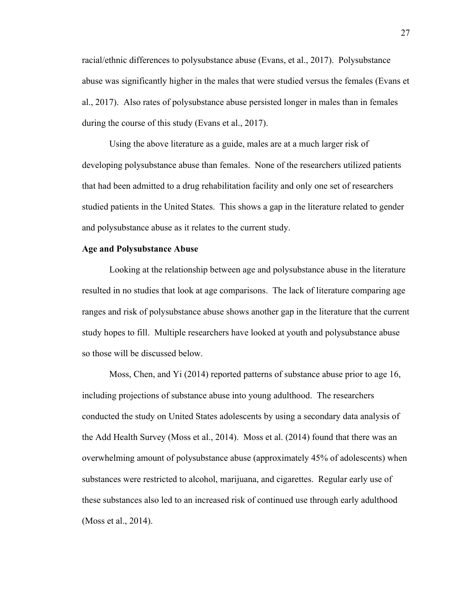racial/ethnic differences to polysubstance abuse (Evans, et al., 2017). Polysubstance abuse was significantly higher in the males that were studied versus the females (Evans et al., 2017). Also rates of polysubstance abuse persisted longer in males than in females during the course of this study (Evans et al., 2017).

Using the above literature as a guide, males are at a much larger risk of developing polysubstance abuse than females. None of the researchers utilized patients that had been admitted to a drug rehabilitation facility and only one set of researchers studied patients in the United States. This shows a gap in the literature related to gender and polysubstance abuse as it relates to the current study.

# **Age and Polysubstance Abuse**

Looking at the relationship between age and polysubstance abuse in the literature resulted in no studies that look at age comparisons. The lack of literature comparing age ranges and risk of polysubstance abuse shows another gap in the literature that the current study hopes to fill. Multiple researchers have looked at youth and polysubstance abuse so those will be discussed below.

Moss, Chen, and Yi (2014) reported patterns of substance abuse prior to age 16, including projections of substance abuse into young adulthood. The researchers conducted the study on United States adolescents by using a secondary data analysis of the Add Health Survey (Moss et al., 2014). Moss et al. (2014) found that there was an overwhelming amount of polysubstance abuse (approximately 45% of adolescents) when substances were restricted to alcohol, marijuana, and cigarettes. Regular early use of these substances also led to an increased risk of continued use through early adulthood (Moss et al., 2014).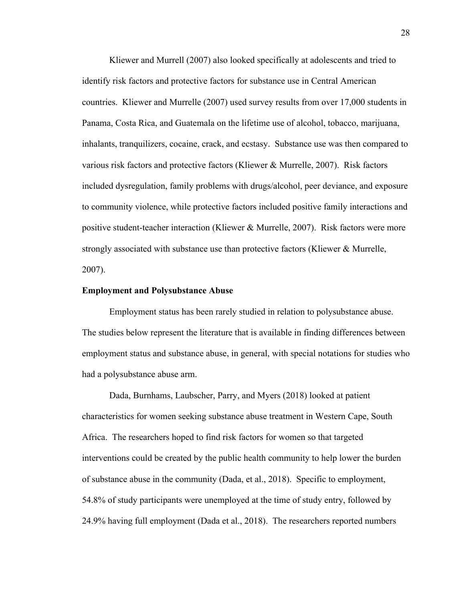Kliewer and Murrell (2007) also looked specifically at adolescents and tried to identify risk factors and protective factors for substance use in Central American countries. Kliewer and Murrelle (2007) used survey results from over 17,000 students in Panama, Costa Rica, and Guatemala on the lifetime use of alcohol, tobacco, marijuana, inhalants, tranquilizers, cocaine, crack, and ecstasy. Substance use was then compared to various risk factors and protective factors (Kliewer & Murrelle, 2007). Risk factors included dysregulation, family problems with drugs/alcohol, peer deviance, and exposure to community violence, while protective factors included positive family interactions and positive student-teacher interaction (Kliewer & Murrelle, 2007). Risk factors were more strongly associated with substance use than protective factors (Kliewer & Murrelle, 2007).

#### **Employment and Polysubstance Abuse**

Employment status has been rarely studied in relation to polysubstance abuse. The studies below represent the literature that is available in finding differences between employment status and substance abuse, in general, with special notations for studies who had a polysubstance abuse arm.

Dada, Burnhams, Laubscher, Parry, and Myers (2018) looked at patient characteristics for women seeking substance abuse treatment in Western Cape, South Africa. The researchers hoped to find risk factors for women so that targeted interventions could be created by the public health community to help lower the burden of substance abuse in the community (Dada, et al., 2018). Specific to employment, 54.8% of study participants were unemployed at the time of study entry, followed by 24.9% having full employment (Dada et al., 2018). The researchers reported numbers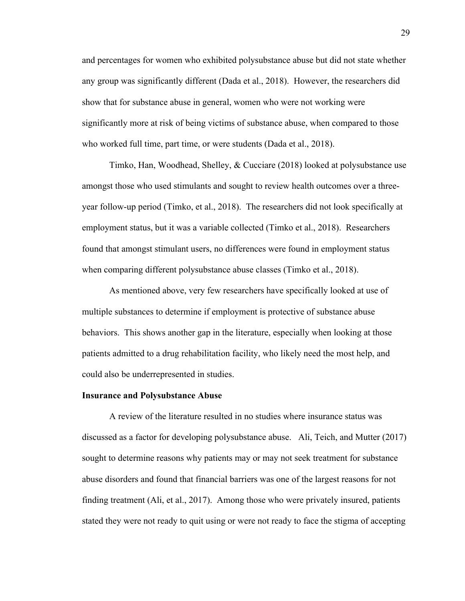and percentages for women who exhibited polysubstance abuse but did not state whether any group was significantly different (Dada et al., 2018). However, the researchers did show that for substance abuse in general, women who were not working were significantly more at risk of being victims of substance abuse, when compared to those who worked full time, part time, or were students (Dada et al., 2018).

Timko, Han, Woodhead, Shelley, & Cucciare (2018) looked at polysubstance use amongst those who used stimulants and sought to review health outcomes over a threeyear follow-up period (Timko, et al., 2018). The researchers did not look specifically at employment status, but it was a variable collected (Timko et al., 2018). Researchers found that amongst stimulant users, no differences were found in employment status when comparing different polysubstance abuse classes (Timko et al., 2018).

As mentioned above, very few researchers have specifically looked at use of multiple substances to determine if employment is protective of substance abuse behaviors. This shows another gap in the literature, especially when looking at those patients admitted to a drug rehabilitation facility, who likely need the most help, and could also be underrepresented in studies.

#### **Insurance and Polysubstance Abuse**

A review of the literature resulted in no studies where insurance status was discussed as a factor for developing polysubstance abuse. Ali, Teich, and Mutter (2017) sought to determine reasons why patients may or may not seek treatment for substance abuse disorders and found that financial barriers was one of the largest reasons for not finding treatment (Ali, et al., 2017). Among those who were privately insured, patients stated they were not ready to quit using or were not ready to face the stigma of accepting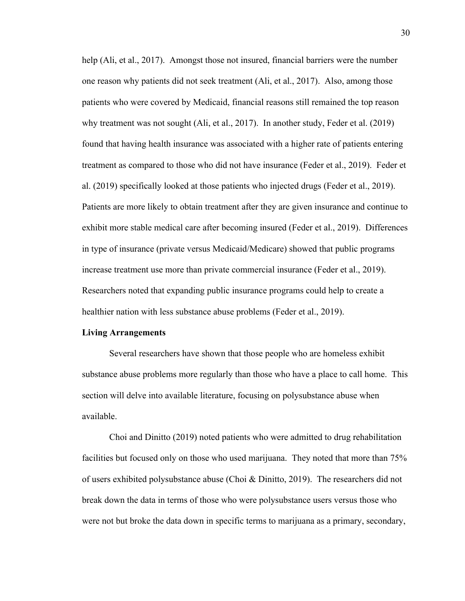help (Ali, et al., 2017). Amongst those not insured, financial barriers were the number one reason why patients did not seek treatment (Ali, et al., 2017). Also, among those patients who were covered by Medicaid, financial reasons still remained the top reason why treatment was not sought (Ali, et al., 2017). In another study, Feder et al. (2019) found that having health insurance was associated with a higher rate of patients entering treatment as compared to those who did not have insurance (Feder et al., 2019). Feder et al. (2019) specifically looked at those patients who injected drugs (Feder et al., 2019). Patients are more likely to obtain treatment after they are given insurance and continue to exhibit more stable medical care after becoming insured (Feder et al., 2019). Differences in type of insurance (private versus Medicaid/Medicare) showed that public programs increase treatment use more than private commercial insurance (Feder et al., 2019). Researchers noted that expanding public insurance programs could help to create a healthier nation with less substance abuse problems (Feder et al., 2019).

# **Living Arrangements**

Several researchers have shown that those people who are homeless exhibit substance abuse problems more regularly than those who have a place to call home. This section will delve into available literature, focusing on polysubstance abuse when available.

Choi and Dinitto (2019) noted patients who were admitted to drug rehabilitation facilities but focused only on those who used marijuana. They noted that more than 75% of users exhibited polysubstance abuse (Choi & Dinitto, 2019). The researchers did not break down the data in terms of those who were polysubstance users versus those who were not but broke the data down in specific terms to marijuana as a primary, secondary,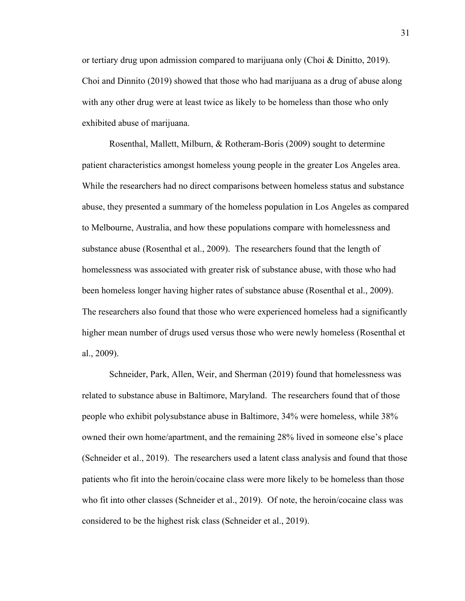or tertiary drug upon admission compared to marijuana only (Choi & Dinitto, 2019). Choi and Dinnito (2019) showed that those who had marijuana as a drug of abuse along with any other drug were at least twice as likely to be homeless than those who only exhibited abuse of marijuana.

Rosenthal, Mallett, Milburn, & Rotheram-Boris (2009) sought to determine patient characteristics amongst homeless young people in the greater Los Angeles area. While the researchers had no direct comparisons between homeless status and substance abuse, they presented a summary of the homeless population in Los Angeles as compared to Melbourne, Australia, and how these populations compare with homelessness and substance abuse (Rosenthal et al., 2009). The researchers found that the length of homelessness was associated with greater risk of substance abuse, with those who had been homeless longer having higher rates of substance abuse (Rosenthal et al., 2009). The researchers also found that those who were experienced homeless had a significantly higher mean number of drugs used versus those who were newly homeless (Rosenthal et al., 2009).

Schneider, Park, Allen, Weir, and Sherman (2019) found that homelessness was related to substance abuse in Baltimore, Maryland. The researchers found that of those people who exhibit polysubstance abuse in Baltimore, 34% were homeless, while 38% owned their own home/apartment, and the remaining 28% lived in someone else's place (Schneider et al., 2019). The researchers used a latent class analysis and found that those patients who fit into the heroin/cocaine class were more likely to be homeless than those who fit into other classes (Schneider et al., 2019). Of note, the heroin/cocaine class was considered to be the highest risk class (Schneider et al., 2019).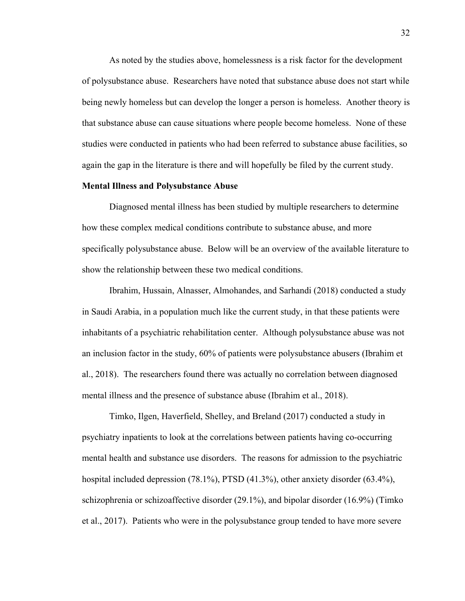As noted by the studies above, homelessness is a risk factor for the development of polysubstance abuse. Researchers have noted that substance abuse does not start while being newly homeless but can develop the longer a person is homeless. Another theory is that substance abuse can cause situations where people become homeless. None of these studies were conducted in patients who had been referred to substance abuse facilities, so again the gap in the literature is there and will hopefully be filed by the current study.

#### **Mental Illness and Polysubstance Abuse**

Diagnosed mental illness has been studied by multiple researchers to determine how these complex medical conditions contribute to substance abuse, and more specifically polysubstance abuse. Below will be an overview of the available literature to show the relationship between these two medical conditions.

Ibrahim, Hussain, Alnasser, Almohandes, and Sarhandi (2018) conducted a study in Saudi Arabia, in a population much like the current study, in that these patients were inhabitants of a psychiatric rehabilitation center. Although polysubstance abuse was not an inclusion factor in the study, 60% of patients were polysubstance abusers (Ibrahim et al., 2018). The researchers found there was actually no correlation between diagnosed mental illness and the presence of substance abuse (Ibrahim et al., 2018).

Timko, Ilgen, Haverfield, Shelley, and Breland (2017) conducted a study in psychiatry inpatients to look at the correlations between patients having co-occurring mental health and substance use disorders. The reasons for admission to the psychiatric hospital included depression (78.1%), PTSD (41.3%), other anxiety disorder (63.4%), schizophrenia or schizoaffective disorder (29.1%), and bipolar disorder (16.9%) (Timko et al., 2017). Patients who were in the polysubstance group tended to have more severe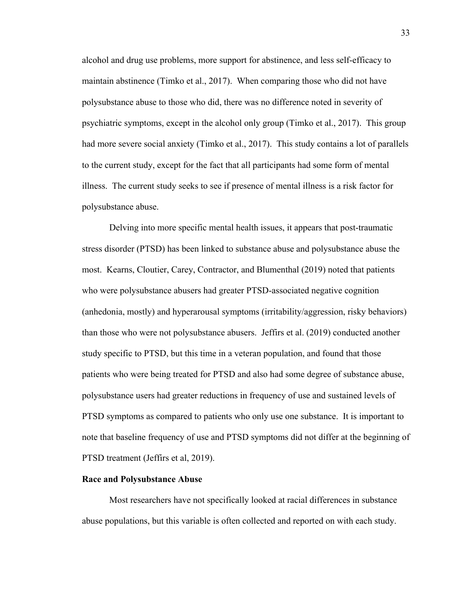alcohol and drug use problems, more support for abstinence, and less self-efficacy to maintain abstinence (Timko et al., 2017). When comparing those who did not have polysubstance abuse to those who did, there was no difference noted in severity of psychiatric symptoms, except in the alcohol only group (Timko et al., 2017). This group had more severe social anxiety (Timko et al., 2017). This study contains a lot of parallels to the current study, except for the fact that all participants had some form of mental illness. The current study seeks to see if presence of mental illness is a risk factor for polysubstance abuse.

Delving into more specific mental health issues, it appears that post-traumatic stress disorder (PTSD) has been linked to substance abuse and polysubstance abuse the most. Kearns, Cloutier, Carey, Contractor, and Blumenthal (2019) noted that patients who were polysubstance abusers had greater PTSD-associated negative cognition (anhedonia, mostly) and hyperarousal symptoms (irritability/aggression, risky behaviors) than those who were not polysubstance abusers. Jeffirs et al. (2019) conducted another study specific to PTSD, but this time in a veteran population, and found that those patients who were being treated for PTSD and also had some degree of substance abuse, polysubstance users had greater reductions in frequency of use and sustained levels of PTSD symptoms as compared to patients who only use one substance. It is important to note that baseline frequency of use and PTSD symptoms did not differ at the beginning of PTSD treatment (Jeffirs et al, 2019).

#### **Race and Polysubstance Abuse**

Most researchers have not specifically looked at racial differences in substance abuse populations, but this variable is often collected and reported on with each study.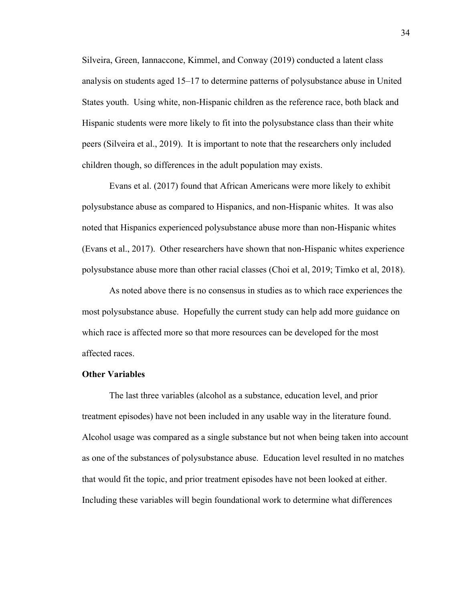Silveira, Green, Iannaccone, Kimmel, and Conway (2019) conducted a latent class analysis on students aged 15–17 to determine patterns of polysubstance abuse in United States youth. Using white, non-Hispanic children as the reference race, both black and Hispanic students were more likely to fit into the polysubstance class than their white peers (Silveira et al., 2019). It is important to note that the researchers only included children though, so differences in the adult population may exists.

Evans et al. (2017) found that African Americans were more likely to exhibit polysubstance abuse as compared to Hispanics, and non-Hispanic whites. It was also noted that Hispanics experienced polysubstance abuse more than non-Hispanic whites (Evans et al., 2017). Other researchers have shown that non-Hispanic whites experience polysubstance abuse more than other racial classes (Choi et al, 2019; Timko et al, 2018).

As noted above there is no consensus in studies as to which race experiences the most polysubstance abuse. Hopefully the current study can help add more guidance on which race is affected more so that more resources can be developed for the most affected races.

#### **Other Variables**

The last three variables (alcohol as a substance, education level, and prior treatment episodes) have not been included in any usable way in the literature found. Alcohol usage was compared as a single substance but not when being taken into account as one of the substances of polysubstance abuse. Education level resulted in no matches that would fit the topic, and prior treatment episodes have not been looked at either. Including these variables will begin foundational work to determine what differences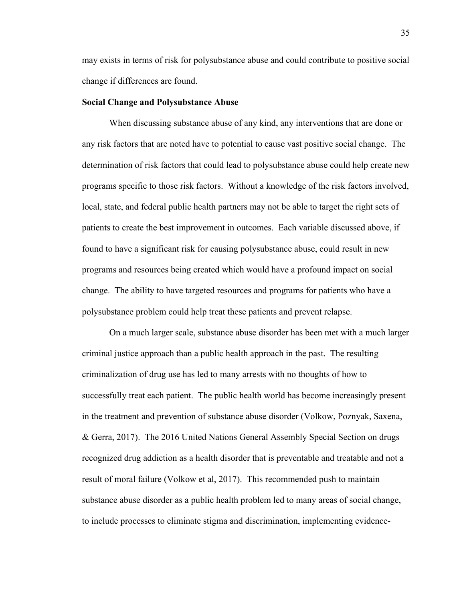may exists in terms of risk for polysubstance abuse and could contribute to positive social change if differences are found.

#### **Social Change and Polysubstance Abuse**

When discussing substance abuse of any kind, any interventions that are done or any risk factors that are noted have to potential to cause vast positive social change. The determination of risk factors that could lead to polysubstance abuse could help create new programs specific to those risk factors. Without a knowledge of the risk factors involved, local, state, and federal public health partners may not be able to target the right sets of patients to create the best improvement in outcomes. Each variable discussed above, if found to have a significant risk for causing polysubstance abuse, could result in new programs and resources being created which would have a profound impact on social change. The ability to have targeted resources and programs for patients who have a polysubstance problem could help treat these patients and prevent relapse.

On a much larger scale, substance abuse disorder has been met with a much larger criminal justice approach than a public health approach in the past. The resulting criminalization of drug use has led to many arrests with no thoughts of how to successfully treat each patient. The public health world has become increasingly present in the treatment and prevention of substance abuse disorder (Volkow, Poznyak, Saxena, & Gerra, 2017). The 2016 United Nations General Assembly Special Section on drugs recognized drug addiction as a health disorder that is preventable and treatable and not a result of moral failure (Volkow et al, 2017). This recommended push to maintain substance abuse disorder as a public health problem led to many areas of social change, to include processes to eliminate stigma and discrimination, implementing evidence-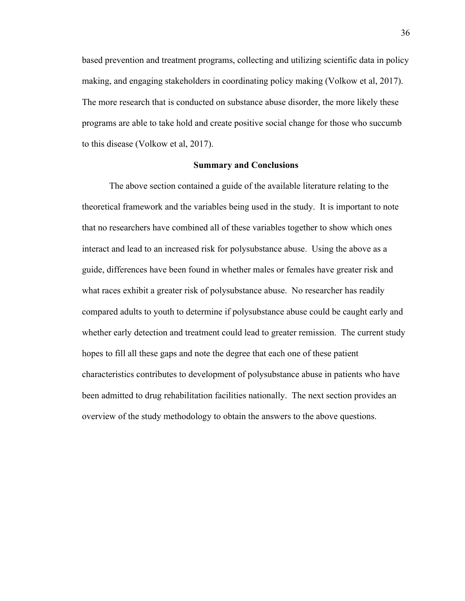based prevention and treatment programs, collecting and utilizing scientific data in policy making, and engaging stakeholders in coordinating policy making (Volkow et al, 2017). The more research that is conducted on substance abuse disorder, the more likely these programs are able to take hold and create positive social change for those who succumb to this disease (Volkow et al, 2017).

#### **Summary and Conclusions**

The above section contained a guide of the available literature relating to the theoretical framework and the variables being used in the study. It is important to note that no researchers have combined all of these variables together to show which ones interact and lead to an increased risk for polysubstance abuse. Using the above as a guide, differences have been found in whether males or females have greater risk and what races exhibit a greater risk of polysubstance abuse. No researcher has readily compared adults to youth to determine if polysubstance abuse could be caught early and whether early detection and treatment could lead to greater remission. The current study hopes to fill all these gaps and note the degree that each one of these patient characteristics contributes to development of polysubstance abuse in patients who have been admitted to drug rehabilitation facilities nationally. The next section provides an overview of the study methodology to obtain the answers to the above questions.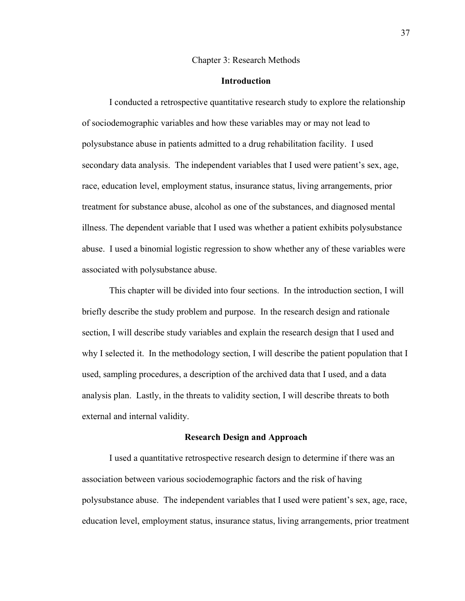#### Chapter 3: Research Methods

# **Introduction**

I conducted a retrospective quantitative research study to explore the relationship of sociodemographic variables and how these variables may or may not lead to polysubstance abuse in patients admitted to a drug rehabilitation facility. I used secondary data analysis. The independent variables that I used were patient's sex, age, race, education level, employment status, insurance status, living arrangements, prior treatment for substance abuse, alcohol as one of the substances, and diagnosed mental illness. The dependent variable that I used was whether a patient exhibits polysubstance abuse. I used a binomial logistic regression to show whether any of these variables were associated with polysubstance abuse.

This chapter will be divided into four sections. In the introduction section, I will briefly describe the study problem and purpose. In the research design and rationale section, I will describe study variables and explain the research design that I used and why I selected it. In the methodology section, I will describe the patient population that I used, sampling procedures, a description of the archived data that I used, and a data analysis plan. Lastly, in the threats to validity section, I will describe threats to both external and internal validity.

#### **Research Design and Approach**

I used a quantitative retrospective research design to determine if there was an association between various sociodemographic factors and the risk of having polysubstance abuse. The independent variables that I used were patient's sex, age, race, education level, employment status, insurance status, living arrangements, prior treatment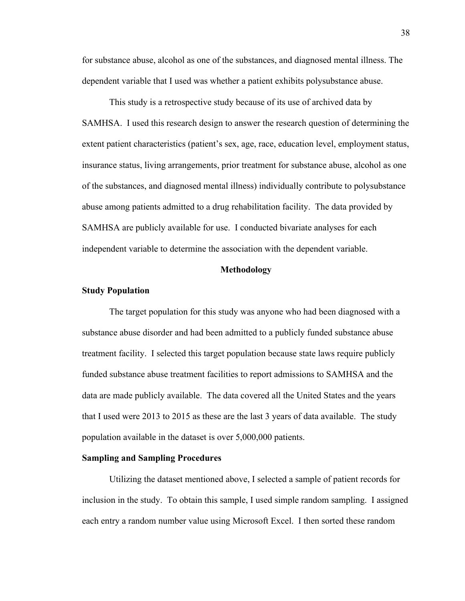for substance abuse, alcohol as one of the substances, and diagnosed mental illness. The dependent variable that I used was whether a patient exhibits polysubstance abuse.

This study is a retrospective study because of its use of archived data by SAMHSA. I used this research design to answer the research question of determining the extent patient characteristics (patient's sex, age, race, education level, employment status, insurance status, living arrangements, prior treatment for substance abuse, alcohol as one of the substances, and diagnosed mental illness) individually contribute to polysubstance abuse among patients admitted to a drug rehabilitation facility. The data provided by SAMHSA are publicly available for use. I conducted bivariate analyses for each independent variable to determine the association with the dependent variable.

#### **Methodology**

#### **Study Population**

The target population for this study was anyone who had been diagnosed with a substance abuse disorder and had been admitted to a publicly funded substance abuse treatment facility. I selected this target population because state laws require publicly funded substance abuse treatment facilities to report admissions to SAMHSA and the data are made publicly available. The data covered all the United States and the years that I used were 2013 to 2015 as these are the last 3 years of data available. The study population available in the dataset is over 5,000,000 patients.

# **Sampling and Sampling Procedures**

Utilizing the dataset mentioned above, I selected a sample of patient records for inclusion in the study. To obtain this sample, I used simple random sampling. I assigned each entry a random number value using Microsoft Excel. I then sorted these random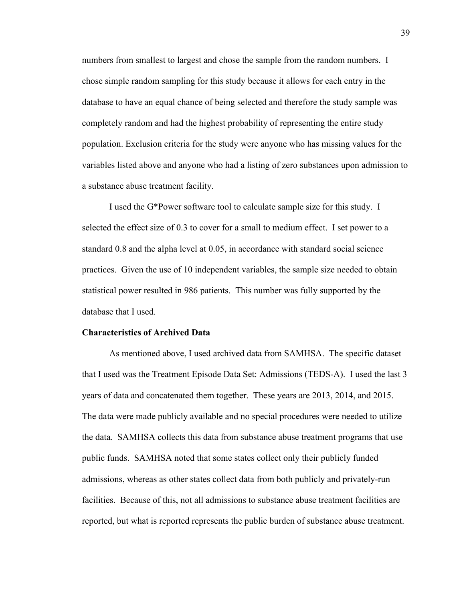numbers from smallest to largest and chose the sample from the random numbers. I chose simple random sampling for this study because it allows for each entry in the database to have an equal chance of being selected and therefore the study sample was completely random and had the highest probability of representing the entire study population. Exclusion criteria for the study were anyone who has missing values for the variables listed above and anyone who had a listing of zero substances upon admission to a substance abuse treatment facility.

I used the G\*Power software tool to calculate sample size for this study. I selected the effect size of 0.3 to cover for a small to medium effect. I set power to a standard 0.8 and the alpha level at 0.05, in accordance with standard social science practices. Given the use of 10 independent variables, the sample size needed to obtain statistical power resulted in 986 patients. This number was fully supported by the database that I used.

#### **Characteristics of Archived Data**

As mentioned above, I used archived data from SAMHSA. The specific dataset that I used was the Treatment Episode Data Set: Admissions (TEDS-A). I used the last 3 years of data and concatenated them together. These years are 2013, 2014, and 2015. The data were made publicly available and no special procedures were needed to utilize the data. SAMHSA collects this data from substance abuse treatment programs that use public funds. SAMHSA noted that some states collect only their publicly funded admissions, whereas as other states collect data from both publicly and privately-run facilities. Because of this, not all admissions to substance abuse treatment facilities are reported, but what is reported represents the public burden of substance abuse treatment.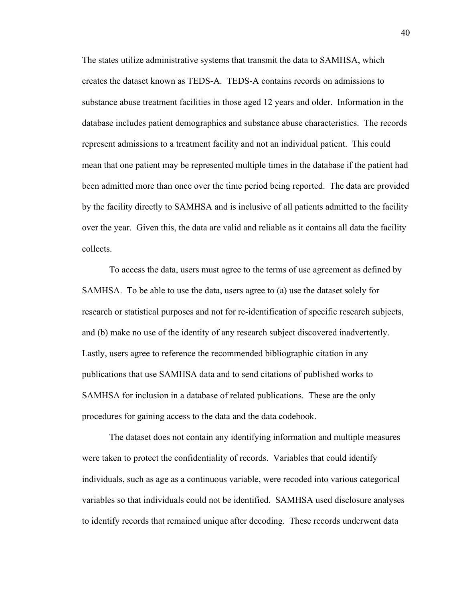The states utilize administrative systems that transmit the data to SAMHSA, which creates the dataset known as TEDS-A. TEDS-A contains records on admissions to substance abuse treatment facilities in those aged 12 years and older. Information in the database includes patient demographics and substance abuse characteristics. The records represent admissions to a treatment facility and not an individual patient. This could mean that one patient may be represented multiple times in the database if the patient had been admitted more than once over the time period being reported. The data are provided by the facility directly to SAMHSA and is inclusive of all patients admitted to the facility over the year. Given this, the data are valid and reliable as it contains all data the facility collects.

To access the data, users must agree to the terms of use agreement as defined by SAMHSA. To be able to use the data, users agree to (a) use the dataset solely for research or statistical purposes and not for re-identification of specific research subjects, and (b) make no use of the identity of any research subject discovered inadvertently. Lastly, users agree to reference the recommended bibliographic citation in any publications that use SAMHSA data and to send citations of published works to SAMHSA for inclusion in a database of related publications. These are the only procedures for gaining access to the data and the data codebook.

The dataset does not contain any identifying information and multiple measures were taken to protect the confidentiality of records. Variables that could identify individuals, such as age as a continuous variable, were recoded into various categorical variables so that individuals could not be identified. SAMHSA used disclosure analyses to identify records that remained unique after decoding. These records underwent data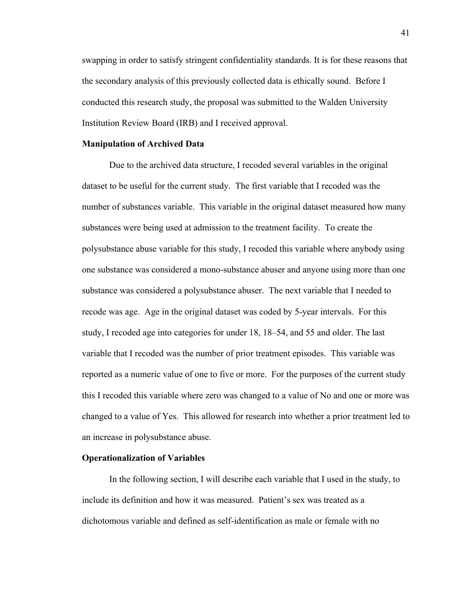swapping in order to satisfy stringent confidentiality standards. It is for these reasons that the secondary analysis of this previously collected data is ethically sound. Before I conducted this research study, the proposal was submitted to the Walden University Institution Review Board (IRB) and I received approval.

#### **Manipulation of Archived Data**

Due to the archived data structure, I recoded several variables in the original dataset to be useful for the current study. The first variable that I recoded was the number of substances variable. This variable in the original dataset measured how many substances were being used at admission to the treatment facility. To create the polysubstance abuse variable for this study, I recoded this variable where anybody using one substance was considered a mono-substance abuser and anyone using more than one substance was considered a polysubstance abuser. The next variable that I needed to recode was age. Age in the original dataset was coded by 5-year intervals. For this study, I recoded age into categories for under 18, 18–54, and 55 and older. The last variable that I recoded was the number of prior treatment episodes. This variable was reported as a numeric value of one to five or more. For the purposes of the current study this I recoded this variable where zero was changed to a value of No and one or more was changed to a value of Yes. This allowed for research into whether a prior treatment led to an increase in polysubstance abuse.

# **Operationalization of Variables**

In the following section, I will describe each variable that I used in the study, to include its definition and how it was measured. Patient's sex was treated as a dichotomous variable and defined as self-identification as male or female with no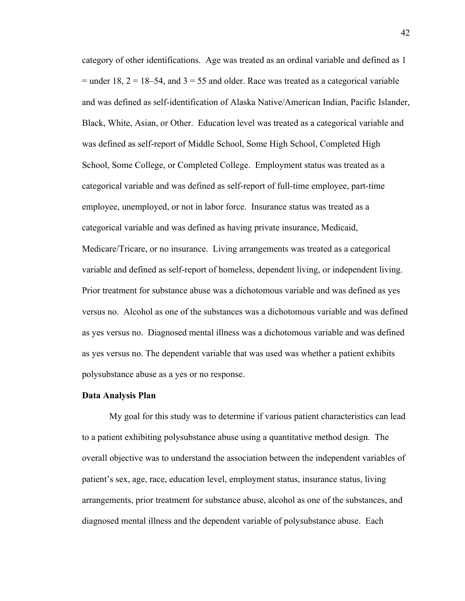category of other identifications. Age was treated as an ordinal variable and defined as 1 = under 18,  $2 = 18-54$ , and  $3 = 55$  and older. Race was treated as a categorical variable and was defined as self-identification of Alaska Native/American Indian, Pacific Islander, Black, White, Asian, or Other. Education level was treated as a categorical variable and was defined as self-report of Middle School, Some High School, Completed High School, Some College, or Completed College. Employment status was treated as a categorical variable and was defined as self-report of full-time employee, part-time employee, unemployed, or not in labor force. Insurance status was treated as a categorical variable and was defined as having private insurance, Medicaid, Medicare/Tricare, or no insurance. Living arrangements was treated as a categorical variable and defined as self-report of homeless, dependent living, or independent living. Prior treatment for substance abuse was a dichotomous variable and was defined as yes versus no. Alcohol as one of the substances was a dichotomous variable and was defined as yes versus no. Diagnosed mental illness was a dichotomous variable and was defined as yes versus no. The dependent variable that was used was whether a patient exhibits polysubstance abuse as a yes or no response.

#### **Data Analysis Plan**

My goal for this study was to determine if various patient characteristics can lead to a patient exhibiting polysubstance abuse using a quantitative method design. The overall objective was to understand the association between the independent variables of patient's sex, age, race, education level, employment status, insurance status, living arrangements, prior treatment for substance abuse, alcohol as one of the substances, and diagnosed mental illness and the dependent variable of polysubstance abuse. Each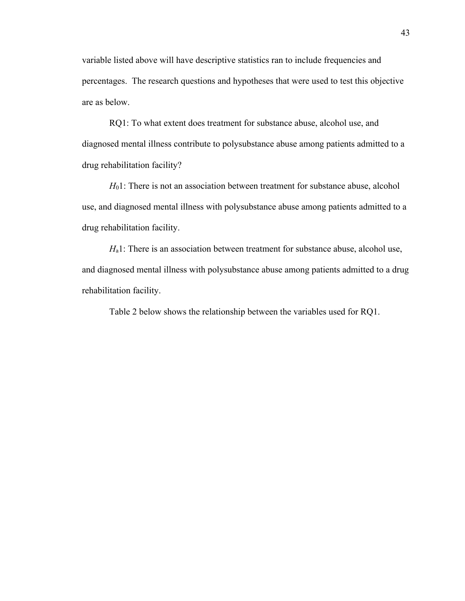variable listed above will have descriptive statistics ran to include frequencies and percentages. The research questions and hypotheses that were used to test this objective are as below.

RQ1: To what extent does treatment for substance abuse, alcohol use, and diagnosed mental illness contribute to polysubstance abuse among patients admitted to a drug rehabilitation facility?

*H*<sub>0</sub>1: There is not an association between treatment for substance abuse, alcohol use, and diagnosed mental illness with polysubstance abuse among patients admitted to a drug rehabilitation facility.

*H*<sub>a</sub>1: There is an association between treatment for substance abuse, alcohol use, and diagnosed mental illness with polysubstance abuse among patients admitted to a drug rehabilitation facility.

Table 2 below shows the relationship between the variables used for RQ1.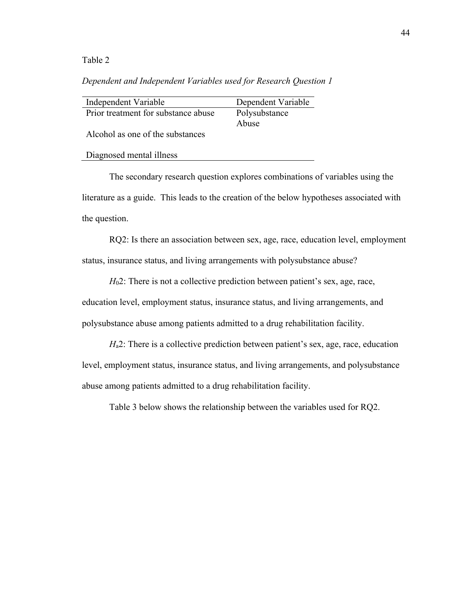# Table 2

# *Dependent and Independent Variables used for Research Question 1*

| Independent Variable                | Dependent Variable |
|-------------------------------------|--------------------|
| Prior treatment for substance abuse | Polysubstance      |
|                                     | Abuse              |
| Alcohol as one of the substances    |                    |
|                                     |                    |
| Diagnosed mental illness            |                    |

The secondary research question explores combinations of variables using the literature as a guide. This leads to the creation of the below hypotheses associated with the question.

RQ2: Is there an association between sex, age, race, education level, employment status, insurance status, and living arrangements with polysubstance abuse?

*H*<sub>0</sub>2: There is not a collective prediction between patient's sex, age, race, education level, employment status, insurance status, and living arrangements, and polysubstance abuse among patients admitted to a drug rehabilitation facility.

*H*<sub>a</sub>2: There is a collective prediction between patient's sex, age, race, education level, employment status, insurance status, and living arrangements, and polysubstance abuse among patients admitted to a drug rehabilitation facility.

Table 3 below shows the relationship between the variables used for RQ2.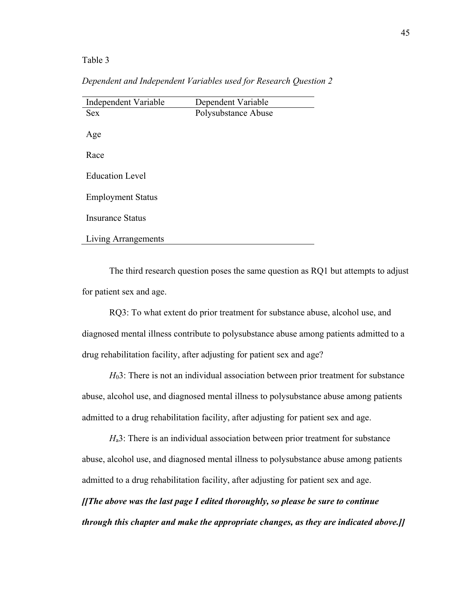Table 3

*Dependent and Independent Variables used for Research Question 2*

| Independent Variable     | Dependent Variable  |
|--------------------------|---------------------|
| <b>Sex</b>               | Polysubstance Abuse |
|                          |                     |
| Age                      |                     |
|                          |                     |
| Race                     |                     |
|                          |                     |
| <b>Education Level</b>   |                     |
| <b>Employment Status</b> |                     |
|                          |                     |
| <b>Insurance Status</b>  |                     |
|                          |                     |
| Living Arrangements      |                     |

The third research question poses the same question as RQ1 but attempts to adjust for patient sex and age.

RQ3: To what extent do prior treatment for substance abuse, alcohol use, and diagnosed mental illness contribute to polysubstance abuse among patients admitted to a drug rehabilitation facility, after adjusting for patient sex and age?

*H*03: There is not an individual association between prior treatment for substance abuse, alcohol use, and diagnosed mental illness to polysubstance abuse among patients admitted to a drug rehabilitation facility, after adjusting for patient sex and age.

*H*<sub>a</sub>3: There is an individual association between prior treatment for substance abuse, alcohol use, and diagnosed mental illness to polysubstance abuse among patients admitted to a drug rehabilitation facility, after adjusting for patient sex and age. *[[The above was the last page I edited thoroughly, so please be sure to continue through this chapter and make the appropriate changes, as they are indicated above.]]*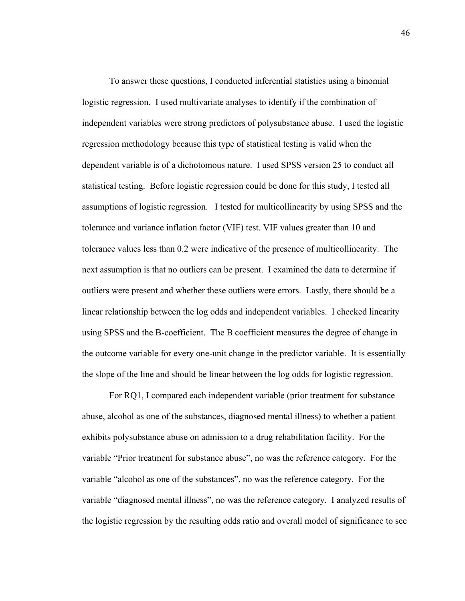To answer these questions, I conducted inferential statistics using a binomial logistic regression. I used multivariate analyses to identify if the combination of independent variables were strong predictors of polysubstance abuse. I used the logistic regression methodology because this type of statistical testing is valid when the dependent variable is of a dichotomous nature. I used SPSS version 25 to conduct all statistical testing. Before logistic regression could be done for this study, I tested all assumptions of logistic regression. I tested for multicollinearity by using SPSS and the tolerance and variance inflation factor (VIF) test. VIF values greater than 10 and tolerance values less than 0.2 were indicative of the presence of multicollinearity. The next assumption is that no outliers can be present. I examined the data to determine if outliers were present and whether these outliers were errors. Lastly, there should be a linear relationship between the log odds and independent variables. I checked linearity using SPSS and the B-coefficient. The B coefficient measures the degree of change in the outcome variable for every one-unit change in the predictor variable. It is essentially the slope of the line and should be linear between the log odds for logistic regression.

For RQ1, I compared each independent variable (prior treatment for substance abuse, alcohol as one of the substances, diagnosed mental illness) to whether a patient exhibits polysubstance abuse on admission to a drug rehabilitation facility. For the variable "Prior treatment for substance abuse", no was the reference category. For the variable "alcohol as one of the substances", no was the reference category. For the variable "diagnosed mental illness", no was the reference category. I analyzed results of the logistic regression by the resulting odds ratio and overall model of significance to see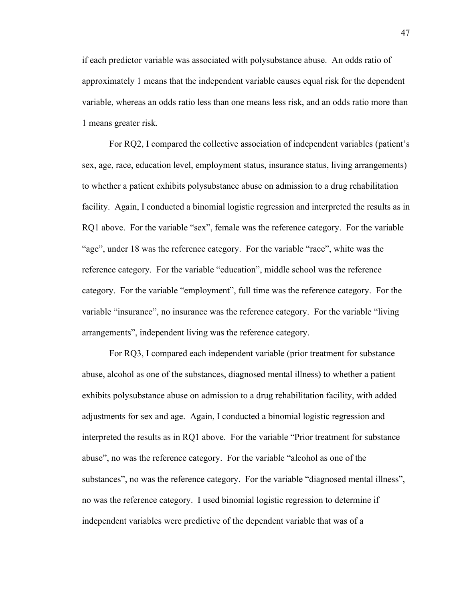if each predictor variable was associated with polysubstance abuse. An odds ratio of approximately 1 means that the independent variable causes equal risk for the dependent variable, whereas an odds ratio less than one means less risk, and an odds ratio more than 1 means greater risk.

For RQ2, I compared the collective association of independent variables (patient's sex, age, race, education level, employment status, insurance status, living arrangements) to whether a patient exhibits polysubstance abuse on admission to a drug rehabilitation facility. Again, I conducted a binomial logistic regression and interpreted the results as in RQ1 above. For the variable "sex", female was the reference category. For the variable "age", under 18 was the reference category. For the variable "race", white was the reference category. For the variable "education", middle school was the reference category. For the variable "employment", full time was the reference category. For the variable "insurance", no insurance was the reference category. For the variable "living arrangements", independent living was the reference category.

For RQ3, I compared each independent variable (prior treatment for substance abuse, alcohol as one of the substances, diagnosed mental illness) to whether a patient exhibits polysubstance abuse on admission to a drug rehabilitation facility, with added adjustments for sex and age. Again, I conducted a binomial logistic regression and interpreted the results as in RQ1 above. For the variable "Prior treatment for substance abuse", no was the reference category. For the variable "alcohol as one of the substances", no was the reference category. For the variable "diagnosed mental illness", no was the reference category. I used binomial logistic regression to determine if independent variables were predictive of the dependent variable that was of a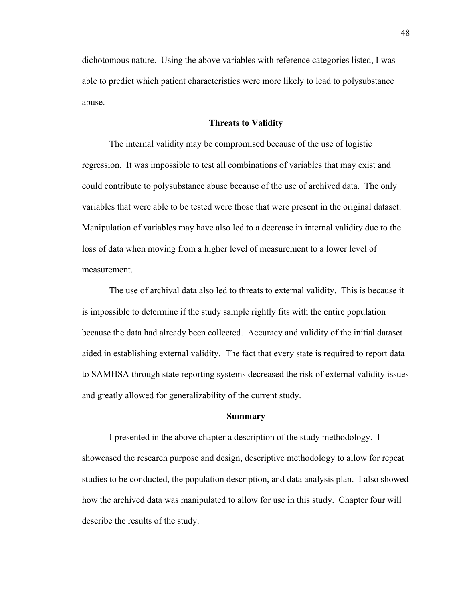dichotomous nature. Using the above variables with reference categories listed, I was able to predict which patient characteristics were more likely to lead to polysubstance abuse.

#### **Threats to Validity**

The internal validity may be compromised because of the use of logistic regression. It was impossible to test all combinations of variables that may exist and could contribute to polysubstance abuse because of the use of archived data. The only variables that were able to be tested were those that were present in the original dataset. Manipulation of variables may have also led to a decrease in internal validity due to the loss of data when moving from a higher level of measurement to a lower level of measurement.

The use of archival data also led to threats to external validity. This is because it is impossible to determine if the study sample rightly fits with the entire population because the data had already been collected. Accuracy and validity of the initial dataset aided in establishing external validity. The fact that every state is required to report data to SAMHSA through state reporting systems decreased the risk of external validity issues and greatly allowed for generalizability of the current study.

# **Summary**

I presented in the above chapter a description of the study methodology. I showcased the research purpose and design, descriptive methodology to allow for repeat studies to be conducted, the population description, and data analysis plan. I also showed how the archived data was manipulated to allow for use in this study. Chapter four will describe the results of the study.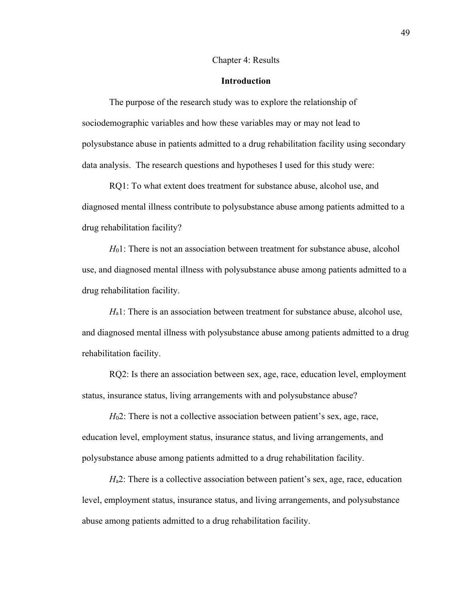#### Chapter 4: Results

# **Introduction**

The purpose of the research study was to explore the relationship of sociodemographic variables and how these variables may or may not lead to polysubstance abuse in patients admitted to a drug rehabilitation facility using secondary data analysis. The research questions and hypotheses I used for this study were:

RQ1: To what extent does treatment for substance abuse, alcohol use, and diagnosed mental illness contribute to polysubstance abuse among patients admitted to a drug rehabilitation facility?

*H*<sub>0</sub>1: There is not an association between treatment for substance abuse, alcohol use, and diagnosed mental illness with polysubstance abuse among patients admitted to a drug rehabilitation facility.

*H*<sub>a</sub>1: There is an association between treatment for substance abuse, alcohol use, and diagnosed mental illness with polysubstance abuse among patients admitted to a drug rehabilitation facility.

RQ2: Is there an association between sex, age, race, education level, employment status, insurance status, living arrangements with and polysubstance abuse?

*H*<sub>0</sub>2: There is not a collective association between patient's sex, age, race, education level, employment status, insurance status, and living arrangements, and polysubstance abuse among patients admitted to a drug rehabilitation facility.

*H*<sub>a</sub>2: There is a collective association between patient's sex, age, race, education level, employment status, insurance status, and living arrangements, and polysubstance abuse among patients admitted to a drug rehabilitation facility.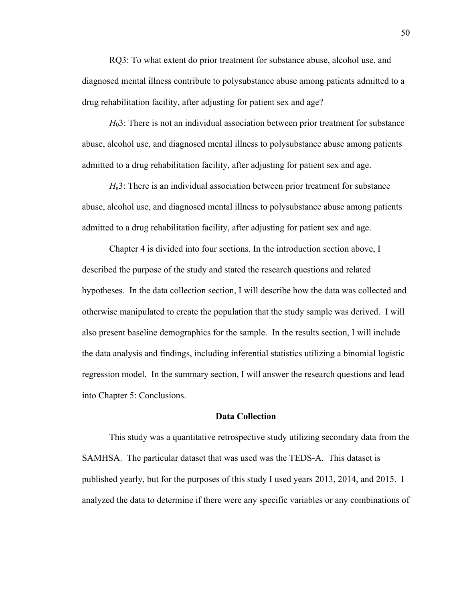RQ3: To what extent do prior treatment for substance abuse, alcohol use, and diagnosed mental illness contribute to polysubstance abuse among patients admitted to a drug rehabilitation facility, after adjusting for patient sex and age?

*H*03: There is not an individual association between prior treatment for substance abuse, alcohol use, and diagnosed mental illness to polysubstance abuse among patients admitted to a drug rehabilitation facility, after adjusting for patient sex and age.

*H*a3: There is an individual association between prior treatment for substance abuse, alcohol use, and diagnosed mental illness to polysubstance abuse among patients admitted to a drug rehabilitation facility, after adjusting for patient sex and age.

Chapter 4 is divided into four sections. In the introduction section above, I described the purpose of the study and stated the research questions and related hypotheses. In the data collection section, I will describe how the data was collected and otherwise manipulated to create the population that the study sample was derived. I will also present baseline demographics for the sample. In the results section, I will include the data analysis and findings, including inferential statistics utilizing a binomial logistic regression model. In the summary section, I will answer the research questions and lead into Chapter 5: Conclusions.

# **Data Collection**

This study was a quantitative retrospective study utilizing secondary data from the SAMHSA. The particular dataset that was used was the TEDS-A. This dataset is published yearly, but for the purposes of this study I used years 2013, 2014, and 2015. I analyzed the data to determine if there were any specific variables or any combinations of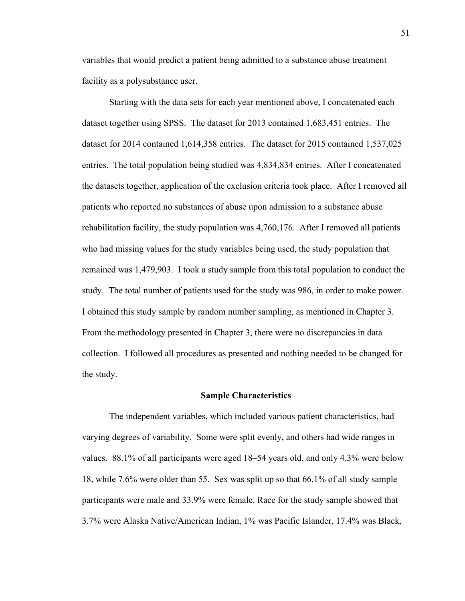variables that would predict a patient being admitted to a substance abuse treatment facility as a polysubstance user.

Starting with the data sets for each year mentioned above, I concatenated each dataset together using SPSS. The dataset for 2013 contained 1,683,451 entries. The dataset for 2014 contained 1,614,358 entries. The dataset for 2015 contained 1,537,025 entries. The total population being studied was 4,834,834 entries. After I concatenated the datasets together, application of the exclusion criteria took place. After I removed all patients who reported no substances of abuse upon admission to a substance abuse rehabilitation facility, the study population was 4,760,176. After I removed all patients who had missing values for the study variables being used, the study population that remained was 1,479,903. I took a study sample from this total population to conduct the study. The total number of patients used for the study was 986, in order to make power. I obtained this study sample by random number sampling, as mentioned in Chapter 3. From the methodology presented in Chapter 3, there were no discrepancies in data collection. I followed all procedures as presented and nothing needed to be changed for the study.

#### **Sample Characteristics**

The independent variables, which included various patient characteristics, had varying degrees of variability. Some were split evenly, and others had wide ranges in values. 88.1% of all participants were aged 18–54 years old, and only 4.3% were below 18, while 7.6% were older than 55. Sex was split up so that 66.1% of all study sample participants were male and 33.9% were female. Race for the study sample showed that 3.7% were Alaska Native/American Indian, 1% was Pacific Islander, 17.4% was Black,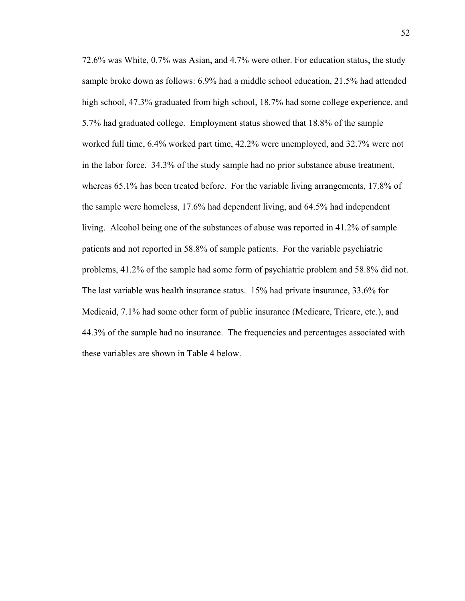72.6% was White, 0.7% was Asian, and 4.7% were other. For education status, the study sample broke down as follows: 6.9% had a middle school education, 21.5% had attended high school, 47.3% graduated from high school, 18.7% had some college experience, and 5.7% had graduated college. Employment status showed that 18.8% of the sample worked full time, 6.4% worked part time, 42.2% were unemployed, and 32.7% were not in the labor force. 34.3% of the study sample had no prior substance abuse treatment, whereas 65.1% has been treated before. For the variable living arrangements, 17.8% of the sample were homeless, 17.6% had dependent living, and 64.5% had independent living. Alcohol being one of the substances of abuse was reported in 41.2% of sample patients and not reported in 58.8% of sample patients. For the variable psychiatric problems, 41.2% of the sample had some form of psychiatric problem and 58.8% did not. The last variable was health insurance status. 15% had private insurance, 33.6% for Medicaid, 7.1% had some other form of public insurance (Medicare, Tricare, etc.), and 44.3% of the sample had no insurance. The frequencies and percentages associated with these variables are shown in Table 4 below.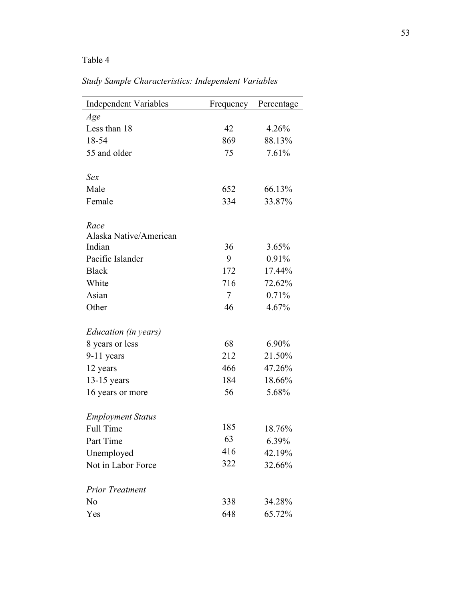# Table 4

| <b>Independent Variables</b> | Frequency | Percentage |  |  |
|------------------------------|-----------|------------|--|--|
| Age                          |           |            |  |  |
| Less than 18                 | 42        | 4.26%      |  |  |
| 18-54                        | 869       | 88.13%     |  |  |
| 55 and older                 | 75        | 7.61%      |  |  |
| Sex                          |           |            |  |  |
| Male                         | 652       | 66.13%     |  |  |
| Female                       | 334       | 33.87%     |  |  |
| Race                         |           |            |  |  |
| Alaska Native/American       |           |            |  |  |
| Indian                       | 36        | 3.65%      |  |  |
| Pacific Islander             | 9         | 0.91%      |  |  |
| <b>Black</b>                 | 172       | 17.44%     |  |  |
| White                        | 716       | 72.62%     |  |  |
| Asian                        | $\tau$    | 0.71%      |  |  |
| Other                        | 46        | 4.67%      |  |  |
| Education (in years)         |           |            |  |  |
| 8 years or less              | 68        | 6.90%      |  |  |
| $9-11$ years                 | 212       | 21.50%     |  |  |
| 12 years                     | 466       | 47.26%     |  |  |
| $13-15$ years                | 184       | 18.66%     |  |  |
| 16 years or more             | 56        | 5.68%      |  |  |
| <b>Employment Status</b>     |           |            |  |  |
| Full Time                    | 185       | 18.76%     |  |  |
| Part Time                    | 63        | 6.39%      |  |  |
| Unemployed                   | 416       | 42.19%     |  |  |
| Not in Labor Force           | 322       | 32.66%     |  |  |
| <b>Prior Treatment</b>       |           |            |  |  |
| No                           | 338       | 34.28%     |  |  |
| Yes                          | 648       | 65.72%     |  |  |

*Study Sample Characteristics: Independent Variables*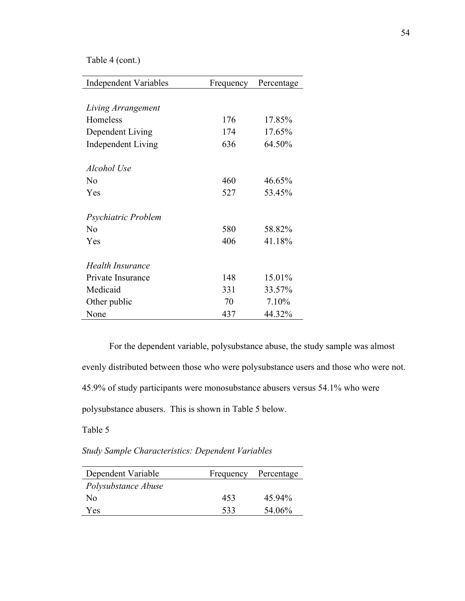Table 4 (cont.)

| <b>Independent Variables</b> | Frequency | Percentage |
|------------------------------|-----------|------------|
|                              |           |            |
| Living Arrangement           |           |            |
| Homeless                     | 176       | 17.85%     |
| Dependent Living             | 174       | 17.65%     |
| <b>Independent Living</b>    | 636       | 64.50%     |
| Alcohol Use                  |           |            |
| $\rm No$                     | 460       | 46.65%     |
| Yes                          | 527       | 53.45%     |
| Psychiatric Problem          |           |            |
| No                           | 580       | 58.82%     |
| Yes                          | 406       | 41.18%     |
| <b>Health Insurance</b>      |           |            |
| Private Insurance            | 148       | 15.01%     |
| Medicaid                     | 331       | 33.57%     |
| Other public                 | 70        | 7.10%      |
| None                         | 437       | 44.32%     |

For the dependent variable, polysubstance abuse, the study sample was almost evenly distributed between those who were polysubstance users and those who were not. 45.9% of study participants were monosubstance abusers versus 54.1% who were polysubstance abusers. This is shown in Table 5 below.

Table 5

*Study Sample Characteristics: Dependent Variables*

| Dependent Variable  | Frequency | Percentage |  |
|---------------------|-----------|------------|--|
| Polysubstance Abuse |           |            |  |
| No                  | 453       | 45.94%     |  |
| Yes                 | 533       | 54.06%     |  |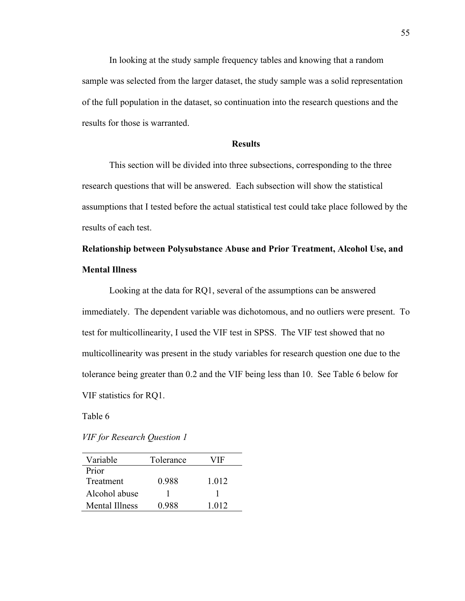In looking at the study sample frequency tables and knowing that a random sample was selected from the larger dataset, the study sample was a solid representation of the full population in the dataset, so continuation into the research questions and the results for those is warranted.

# **Results**

This section will be divided into three subsections, corresponding to the three research questions that will be answered. Each subsection will show the statistical assumptions that I tested before the actual statistical test could take place followed by the results of each test.

# **Relationship between Polysubstance Abuse and Prior Treatment, Alcohol Use, and Mental Illness**

Looking at the data for RQ1, several of the assumptions can be answered immediately. The dependent variable was dichotomous, and no outliers were present. To test for multicollinearity, I used the VIF test in SPSS. The VIF test showed that no multicollinearity was present in the study variables for research question one due to the tolerance being greater than 0.2 and the VIF being less than 10. See Table 6 below for VIF statistics for RQ1.

Table 6

*VIF for Research Question 1*

| Variable         | Tolerance | VIF   |
|------------------|-----------|-------|
| Prior            |           |       |
| <b>Treatment</b> | 0.988     | 1.012 |
| Alcohol abuse    |           |       |
| Mental Illness   | 0.988     | 1.012 |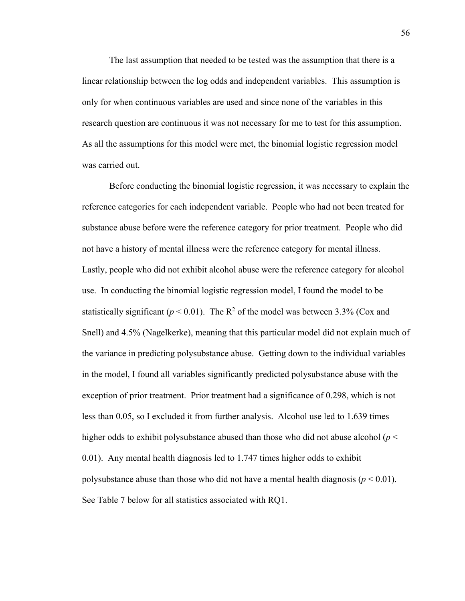The last assumption that needed to be tested was the assumption that there is a linear relationship between the log odds and independent variables. This assumption is only for when continuous variables are used and since none of the variables in this research question are continuous it was not necessary for me to test for this assumption. As all the assumptions for this model were met, the binomial logistic regression model was carried out.

Before conducting the binomial logistic regression, it was necessary to explain the reference categories for each independent variable. People who had not been treated for substance abuse before were the reference category for prior treatment. People who did not have a history of mental illness were the reference category for mental illness. Lastly, people who did not exhibit alcohol abuse were the reference category for alcohol use. In conducting the binomial logistic regression model, I found the model to be statistically significant ( $p < 0.01$ ). The R<sup>2</sup> of the model was between 3.3% (Cox and Snell) and 4.5% (Nagelkerke), meaning that this particular model did not explain much of the variance in predicting polysubstance abuse. Getting down to the individual variables in the model, I found all variables significantly predicted polysubstance abuse with the exception of prior treatment. Prior treatment had a significance of 0.298, which is not less than 0.05, so I excluded it from further analysis. Alcohol use led to 1.639 times higher odds to exhibit polysubstance abused than those who did not abuse alcohol (*p* < 0.01). Any mental health diagnosis led to 1.747 times higher odds to exhibit polysubstance abuse than those who did not have a mental health diagnosis  $(p < 0.01)$ . See Table 7 below for all statistics associated with RQ1.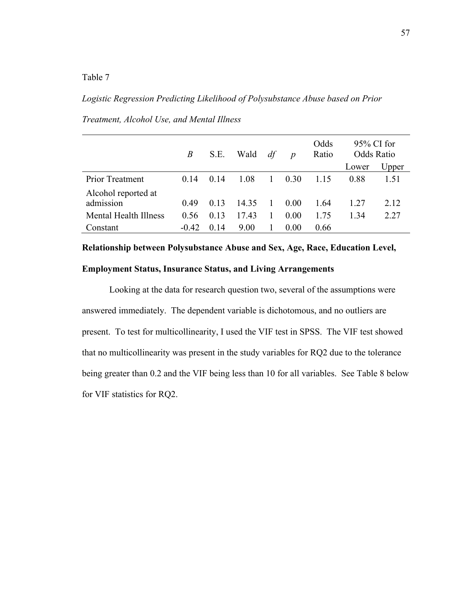Table 7

*Logistic Regression Predicting Likelihood of Polysubstance Abuse based on Prior* 

|                                  | B       | S.E. | Wald  | df           | $\boldsymbol{p}$ | Odds<br>Ratio | $95\%$ CI for<br>Odds Ratio |       |
|----------------------------------|---------|------|-------|--------------|------------------|---------------|-----------------------------|-------|
|                                  |         |      |       |              |                  |               | Lower                       | Upper |
| <b>Prior Treatment</b>           | 0.14    | 0.14 | 1.08  | $\mathbf{1}$ | 0.30             | 1.15          | 0.88                        | 1.51  |
| Alcohol reported at<br>admission | 0.49    | 0.13 | 14.35 | $\mathbf{1}$ | 0.00             | 1.64          | 1.27                        | 2.12  |
| Mental Health Illness            | 0.56    | 0.13 | 17.43 | 1            | 0.00             | 1.75          | 1.34                        | 2.27  |
| Constant                         | $-0.42$ | 0.14 | 9.00  |              | 0.00             | 0.66          |                             |       |

*Treatment, Alcohol Use, and Mental Illness*

**Relationship between Polysubstance Abuse and Sex, Age, Race, Education Level, Employment Status, Insurance Status, and Living Arrangements**

Looking at the data for research question two, several of the assumptions were answered immediately. The dependent variable is dichotomous, and no outliers are present. To test for multicollinearity, I used the VIF test in SPSS. The VIF test showed that no multicollinearity was present in the study variables for RQ2 due to the tolerance being greater than 0.2 and the VIF being less than 10 for all variables. See Table 8 below for VIF statistics for RQ2.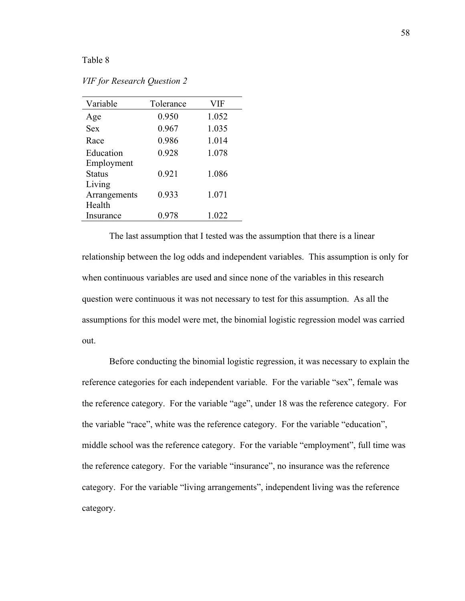## Table 8

| Variable      | Tolerance | <b>VIF</b> |
|---------------|-----------|------------|
| Age           | 0.950     | 1.052      |
| <b>Sex</b>    | 0.967     | 1.035      |
| Race          | 0.986     | 1.014      |
| Education     | 0.928     | 1.078      |
| Employment    |           |            |
| <b>Status</b> | 0.921     | 1.086      |
| Living        |           |            |
| Arrangements  | 0.933     | 1.071      |
| Health        |           |            |
| Insurance     | 0.978     | 1.022      |

*VIF for Research Question 2*

The last assumption that I tested was the assumption that there is a linear relationship between the log odds and independent variables. This assumption is only for when continuous variables are used and since none of the variables in this research question were continuous it was not necessary to test for this assumption. As all the assumptions for this model were met, the binomial logistic regression model was carried out.

Before conducting the binomial logistic regression, it was necessary to explain the reference categories for each independent variable. For the variable "sex", female was the reference category. For the variable "age", under 18 was the reference category. For the variable "race", white was the reference category. For the variable "education", middle school was the reference category. For the variable "employment", full time was the reference category. For the variable "insurance", no insurance was the reference category. For the variable "living arrangements", independent living was the reference category.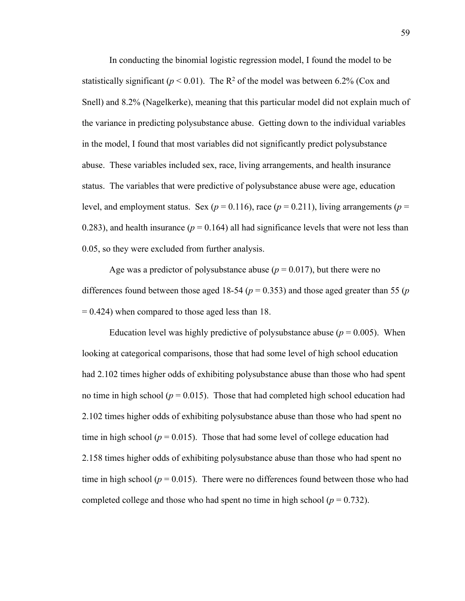In conducting the binomial logistic regression model, I found the model to be statistically significant ( $p < 0.01$ ). The R<sup>2</sup> of the model was between 6.2% (Cox and Snell) and 8.2% (Nagelkerke), meaning that this particular model did not explain much of the variance in predicting polysubstance abuse. Getting down to the individual variables in the model, I found that most variables did not significantly predict polysubstance abuse. These variables included sex, race, living arrangements, and health insurance status. The variables that were predictive of polysubstance abuse were age, education level, and employment status. Sex ( $p = 0.116$ ), race ( $p = 0.211$ ), living arrangements ( $p = 0.211$ ) 0.283), and health insurance ( $p = 0.164$ ) all had significance levels that were not less than 0.05, so they were excluded from further analysis.

Age was a predictor of polysubstance abuse  $(p = 0.017)$ , but there were no differences found between those aged 18-54 ( $p = 0.353$ ) and those aged greater than 55 ( $p$ )  $= 0.424$ ) when compared to those aged less than 18.

Education level was highly predictive of polysubstance abuse ( $p = 0.005$ ). When looking at categorical comparisons, those that had some level of high school education had 2.102 times higher odds of exhibiting polysubstance abuse than those who had spent no time in high school ( $p = 0.015$ ). Those that had completed high school education had 2.102 times higher odds of exhibiting polysubstance abuse than those who had spent no time in high school ( $p = 0.015$ ). Those that had some level of college education had 2.158 times higher odds of exhibiting polysubstance abuse than those who had spent no time in high school ( $p = 0.015$ ). There were no differences found between those who had completed college and those who had spent no time in high school ( $p = 0.732$ ).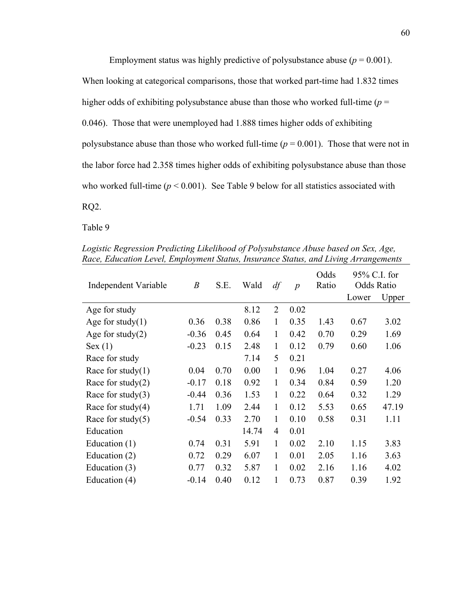Employment status was highly predictive of polysubstance abuse ( $p = 0.001$ ). When looking at categorical comparisons, those that worked part-time had 1.832 times higher odds of exhibiting polysubstance abuse than those who worked full-time (*p* = 0.046). Those that were unemployed had 1.888 times higher odds of exhibiting polysubstance abuse than those who worked full-time  $(p = 0.001)$ . Those that were not in the labor force had 2.358 times higher odds of exhibiting polysubstance abuse than those who worked full-time  $(p < 0.001)$ . See Table 9 below for all statistics associated with RQ2.

Table 9

Independent Variable *B* S.E. Wald *df p* Odds Ratio 95% C.I. for Odds Ratio Lower Upper Age for study 8.12 2 0.02 Age for study(1)  $0.36 \t 0.38 \t 0.86 \t 1 \t 0.35 \t 1.43 \t 0.67 \t 3.02$ Age for study(2)  $-0.36 \quad 0.45 \quad 0.64 \quad 1 \quad 0.42 \quad 0.70 \quad 0.29 \quad 1.69$ Sex (1)  $-0.23$   $0.15$   $2.48$  1  $0.12$   $0.79$   $0.60$  1.06 Race for study 7.14 5 0.21 Race for study(1) 0.04 0.70 0.00 1 0.96 1.04 0.27 4.06 Race for study(2)  $-0.17$  0.18 0.92 1 0.34 0.84 0.59 1.20 Race for study(3)  $-0.44$  0.36 1.53 1 0.22 0.64 0.32 1.29 Race for study(4) 1.71 1.09 2.44 1 0.12 5.53 0.65 47.19 Race for study(5)  $-0.54$  0.33 2.70 1 0.10 0.58 0.31 1.11 Education 14.74 4 0.01 Education (1)  $0.74 \quad 0.31 \quad 5.91 \quad 1 \quad 0.02 \quad 2.10 \quad 1.15 \quad 3.83$ Education (2) 0.72 0.29 6.07 1 0.01 2.05 1.16 3.63 Education (3) 0.77 0.32 5.87 1 0.02 2.16 1.16 4.02 Education (4) -0.14 0.40 0.12 1 0.73 0.87 0.39 1.92

*Logistic Regression Predicting Likelihood of Polysubstance Abuse based on Sex, Age, Race, Education Level, Employment Status, Insurance Status, and Living Arrangements*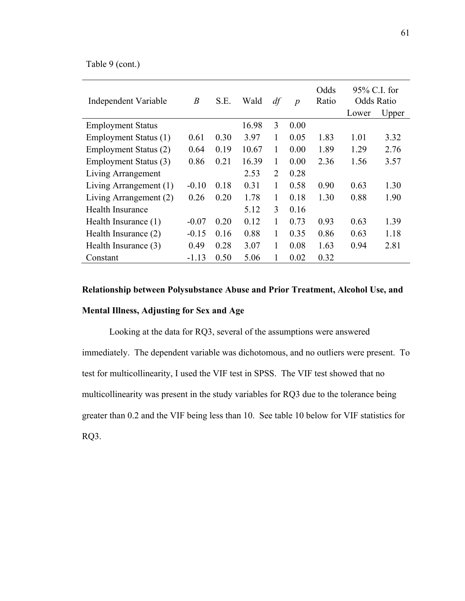Table 9 (cont.)

| Independent Variable     | $\boldsymbol{B}$ | S.E. | Wald  | df           | $\boldsymbol{p}$ | Odds<br>Ratio |       | 95% C.I. for<br><b>Odds Ratio</b> |  |
|--------------------------|------------------|------|-------|--------------|------------------|---------------|-------|-----------------------------------|--|
|                          |                  |      |       |              |                  |               | Lower | Upper                             |  |
| <b>Employment Status</b> |                  |      | 16.98 | 3            | 0.00             |               |       |                                   |  |
| Employment Status (1)    | 0.61             | 0.30 | 3.97  | 1            | 0.05             | 1.83          | 1.01  | 3.32                              |  |
| Employment Status (2)    | 0.64             | 0.19 | 10.67 | 1            | 0.00             | 1.89          | 1.29  | 2.76                              |  |
| Employment Status (3)    | 0.86             | 0.21 | 16.39 | $\mathbf{1}$ | 0.00             | 2.36          | 1.56  | 3.57                              |  |
| Living Arrangement       |                  |      | 2.53  | 2            | 0.28             |               |       |                                   |  |
| Living Arrangement (1)   | $-0.10$          | 0.18 | 0.31  | 1            | 0.58             | 0.90          | 0.63  | 1.30                              |  |
| Living Arrangement (2)   | 0.26             | 0.20 | 1.78  | 1            | 0.18             | 1.30          | 0.88  | 1.90                              |  |
| <b>Health Insurance</b>  |                  |      | 5.12  | 3            | 0.16             |               |       |                                   |  |
| Health Insurance (1)     | $-0.07$          | 0.20 | 0.12  | 1            | 0.73             | 0.93          | 0.63  | 1.39                              |  |
| Health Insurance (2)     | $-0.15$          | 0.16 | 0.88  | 1            | 0.35             | 0.86          | 0.63  | 1.18                              |  |
| Health Insurance (3)     | 0.49             | 0.28 | 3.07  | 1            | 0.08             | 1.63          | 0.94  | 2.81                              |  |
| Constant                 | $-1.13$          | 0.50 | 5.06  | 1            | 0.02             | 0.32          |       |                                   |  |

# **Relationship between Polysubstance Abuse and Prior Treatment, Alcohol Use, and**

### **Mental Illness, Adjusting for Sex and Age**

Looking at the data for RQ3, several of the assumptions were answered immediately. The dependent variable was dichotomous, and no outliers were present. To test for multicollinearity, I used the VIF test in SPSS. The VIF test showed that no multicollinearity was present in the study variables for RQ3 due to the tolerance being greater than 0.2 and the VIF being less than 10. See table 10 below for VIF statistics for RQ3.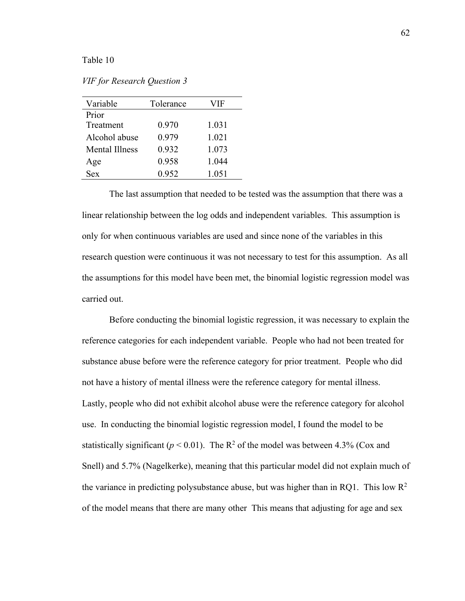#### Table 10

*VIF for Research Question 3*

| Variable       | Tolerance | VIF   |
|----------------|-----------|-------|
| Prior          |           |       |
| Treatment      | 0.970     | 1.031 |
| Alcohol abuse  | 0.979     | 1.021 |
| Mental Illness | 0.932     | 1.073 |
| Age            | 0.958     | 1.044 |
| <b>Sex</b>     | 0.952     | 1.051 |

The last assumption that needed to be tested was the assumption that there was a linear relationship between the log odds and independent variables. This assumption is only for when continuous variables are used and since none of the variables in this research question were continuous it was not necessary to test for this assumption. As all the assumptions for this model have been met, the binomial logistic regression model was carried out.

Before conducting the binomial logistic regression, it was necessary to explain the reference categories for each independent variable. People who had not been treated for substance abuse before were the reference category for prior treatment. People who did not have a history of mental illness were the reference category for mental illness. Lastly, people who did not exhibit alcohol abuse were the reference category for alcohol use. In conducting the binomial logistic regression model, I found the model to be statistically significant ( $p < 0.01$ ). The R<sup>2</sup> of the model was between 4.3% (Cox and Snell) and 5.7% (Nagelkerke), meaning that this particular model did not explain much of the variance in predicting polysubstance abuse, but was higher than in RQ1. This low  $\mathbb{R}^2$ of the model means that there are many other This means that adjusting for age and sex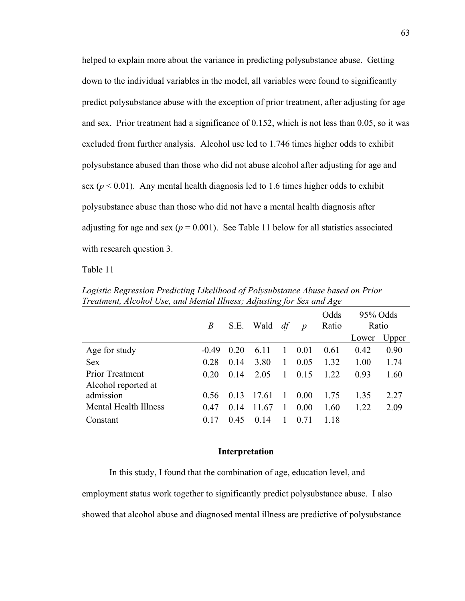helped to explain more about the variance in predicting polysubstance abuse. Getting down to the individual variables in the model, all variables were found to significantly predict polysubstance abuse with the exception of prior treatment, after adjusting for age and sex. Prior treatment had a significance of 0.152, which is not less than 0.05, so it was excluded from further analysis. Alcohol use led to 1.746 times higher odds to exhibit polysubstance abused than those who did not abuse alcohol after adjusting for age and sex ( $p < 0.01$ ). Any mental health diagnosis led to 1.6 times higher odds to exhibit polysubstance abuse than those who did not have a mental health diagnosis after adjusting for age and sex ( $p = 0.001$ ). See Table 11 below for all statistics associated with research question 3.

Table 11

|                       | B       | S.E. | Wald  | df     | $\boldsymbol{p}$ | Odds<br>Ratio | 95% Odds<br>Ratio |       |
|-----------------------|---------|------|-------|--------|------------------|---------------|-------------------|-------|
|                       |         |      |       |        |                  |               | Lower             | Upper |
| Age for study         | $-0.49$ | 0.20 | 6.11  |        | 0.01             | 0.61          | 0.42              | 0.90  |
| <b>Sex</b>            | 0.28    | 0.14 | 3.80  | 1      | 0.05             | 1.32          | 1.00              | 1.74  |
| Prior Treatment       | 0.20    | 0.14 | 2.05  | 1.     | 0.15             | 1.22          | 0.93              | 1.60  |
| Alcohol reported at   |         |      |       |        |                  |               |                   |       |
| admission             | 0.56    | 0.13 | 17.61 | $\Box$ | 0.00             | 1.75          | 1.35              | 2.27  |
| Mental Health Illness | 0.47    | 0.14 | 11.67 |        | 0.00             | 1.60          | 1.22              | 2.09  |
| Constant              | 0.17    | 0.45 | 0.14  |        | 0.71             | 1.18          |                   |       |

*Logistic Regression Predicting Likelihood of Polysubstance Abuse based on Prior Treatment, Alcohol Use, and Mental Illness; Adjusting for Sex and Age*

#### **Interpretation**

In this study, I found that the combination of age, education level, and employment status work together to significantly predict polysubstance abuse. I also showed that alcohol abuse and diagnosed mental illness are predictive of polysubstance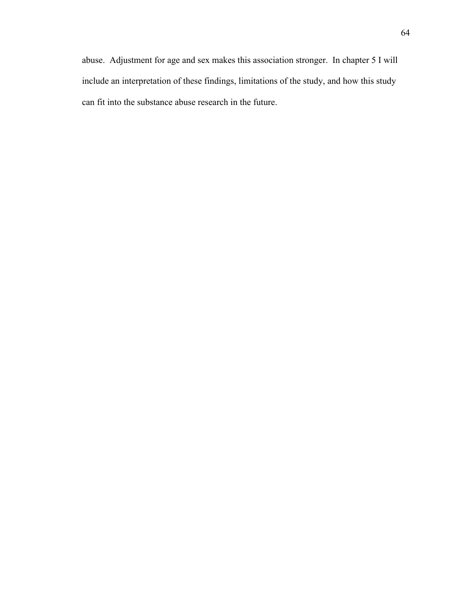abuse. Adjustment for age and sex makes this association stronger. In chapter 5 I will include an interpretation of these findings, limitations of the study, and how this study can fit into the substance abuse research in the future.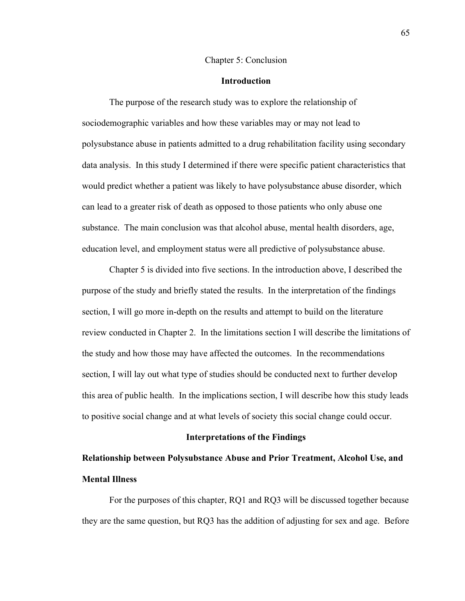#### Chapter 5: Conclusion

#### **Introduction**

The purpose of the research study was to explore the relationship of sociodemographic variables and how these variables may or may not lead to polysubstance abuse in patients admitted to a drug rehabilitation facility using secondary data analysis. In this study I determined if there were specific patient characteristics that would predict whether a patient was likely to have polysubstance abuse disorder, which can lead to a greater risk of death as opposed to those patients who only abuse one substance. The main conclusion was that alcohol abuse, mental health disorders, age, education level, and employment status were all predictive of polysubstance abuse.

Chapter 5 is divided into five sections. In the introduction above, I described the purpose of the study and briefly stated the results. In the interpretation of the findings section, I will go more in-depth on the results and attempt to build on the literature review conducted in Chapter 2. In the limitations section I will describe the limitations of the study and how those may have affected the outcomes. In the recommendations section, I will lay out what type of studies should be conducted next to further develop this area of public health. In the implications section, I will describe how this study leads to positive social change and at what levels of society this social change could occur.

#### **Interpretations of the Findings**

## **Relationship between Polysubstance Abuse and Prior Treatment, Alcohol Use, and Mental Illness**

For the purposes of this chapter, RQ1 and RQ3 will be discussed together because they are the same question, but RQ3 has the addition of adjusting for sex and age. Before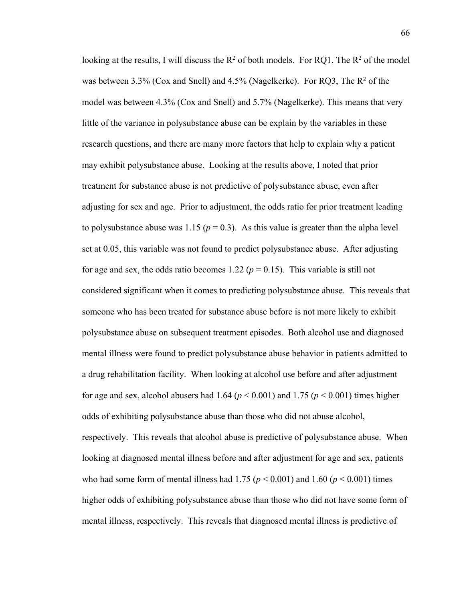looking at the results, I will discuss the  $R^2$  of both models. For RQ1, The  $R^2$  of the model was between 3.3% (Cox and Snell) and 4.5% (Nagelkerke). For RQ3, The  $R^2$  of the model was between 4.3% (Cox and Snell) and 5.7% (Nagelkerke). This means that very little of the variance in polysubstance abuse can be explain by the variables in these research questions, and there are many more factors that help to explain why a patient may exhibit polysubstance abuse. Looking at the results above, I noted that prior treatment for substance abuse is not predictive of polysubstance abuse, even after adjusting for sex and age. Prior to adjustment, the odds ratio for prior treatment leading to polysubstance abuse was 1.15 ( $p = 0.3$ ). As this value is greater than the alpha level set at 0.05, this variable was not found to predict polysubstance abuse. After adjusting for age and sex, the odds ratio becomes 1.22 ( $p = 0.15$ ). This variable is still not considered significant when it comes to predicting polysubstance abuse. This reveals that someone who has been treated for substance abuse before is not more likely to exhibit polysubstance abuse on subsequent treatment episodes. Both alcohol use and diagnosed mental illness were found to predict polysubstance abuse behavior in patients admitted to a drug rehabilitation facility. When looking at alcohol use before and after adjustment for age and sex, alcohol abusers had 1.64 ( $p < 0.001$ ) and 1.75 ( $p < 0.001$ ) times higher odds of exhibiting polysubstance abuse than those who did not abuse alcohol, respectively. This reveals that alcohol abuse is predictive of polysubstance abuse. When looking at diagnosed mental illness before and after adjustment for age and sex, patients who had some form of mental illness had  $1.75$  ( $p < 0.001$ ) and  $1.60$  ( $p < 0.001$ ) times higher odds of exhibiting polysubstance abuse than those who did not have some form of mental illness, respectively. This reveals that diagnosed mental illness is predictive of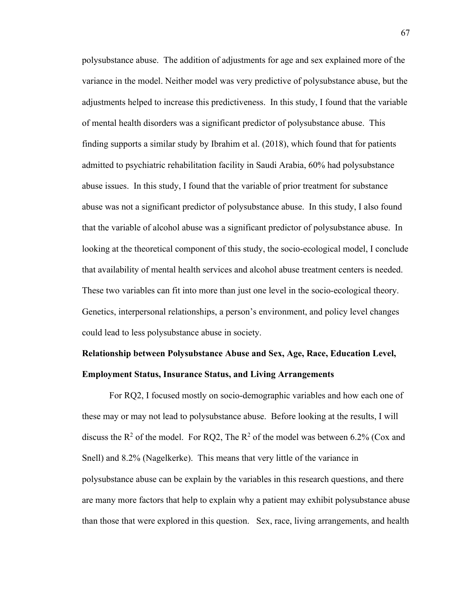polysubstance abuse. The addition of adjustments for age and sex explained more of the variance in the model. Neither model was very predictive of polysubstance abuse, but the adjustments helped to increase this predictiveness. In this study, I found that the variable of mental health disorders was a significant predictor of polysubstance abuse. This finding supports a similar study by Ibrahim et al. (2018), which found that for patients admitted to psychiatric rehabilitation facility in Saudi Arabia, 60% had polysubstance abuse issues. In this study, I found that the variable of prior treatment for substance abuse was not a significant predictor of polysubstance abuse. In this study, I also found that the variable of alcohol abuse was a significant predictor of polysubstance abuse. In looking at the theoretical component of this study, the socio-ecological model, I conclude that availability of mental health services and alcohol abuse treatment centers is needed. These two variables can fit into more than just one level in the socio-ecological theory. Genetics, interpersonal relationships, a person's environment, and policy level changes could lead to less polysubstance abuse in society.

## **Relationship between Polysubstance Abuse and Sex, Age, Race, Education Level, Employment Status, Insurance Status, and Living Arrangements**

For RQ2, I focused mostly on socio-demographic variables and how each one of these may or may not lead to polysubstance abuse. Before looking at the results, I will discuss the  $\mathbb{R}^2$  of the model. For RQ2, The  $\mathbb{R}^2$  of the model was between 6.2% (Cox and Snell) and 8.2% (Nagelkerke). This means that very little of the variance in polysubstance abuse can be explain by the variables in this research questions, and there are many more factors that help to explain why a patient may exhibit polysubstance abuse than those that were explored in this question. Sex, race, living arrangements, and health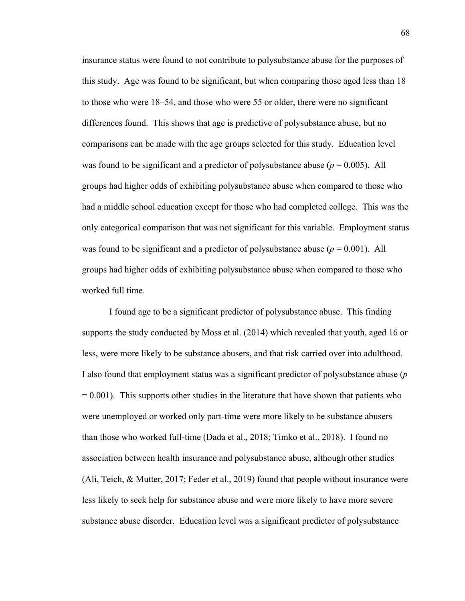insurance status were found to not contribute to polysubstance abuse for the purposes of this study. Age was found to be significant, but when comparing those aged less than 18 to those who were 18–54, and those who were 55 or older, there were no significant differences found. This shows that age is predictive of polysubstance abuse, but no comparisons can be made with the age groups selected for this study. Education level was found to be significant and a predictor of polysubstance abuse  $(p = 0.005)$ . All groups had higher odds of exhibiting polysubstance abuse when compared to those who had a middle school education except for those who had completed college. This was the only categorical comparison that was not significant for this variable. Employment status was found to be significant and a predictor of polysubstance abuse  $(p = 0.001)$ . All groups had higher odds of exhibiting polysubstance abuse when compared to those who worked full time.

I found age to be a significant predictor of polysubstance abuse. This finding supports the study conducted by Moss et al. (2014) which revealed that youth, aged 16 or less, were more likely to be substance abusers, and that risk carried over into adulthood. I also found that employment status was a significant predictor of polysubstance abuse (*p*  $= 0.001$ ). This supports other studies in the literature that have shown that patients who were unemployed or worked only part-time were more likely to be substance abusers than those who worked full-time (Dada et al., 2018; Timko et al., 2018). I found no association between health insurance and polysubstance abuse, although other studies (Ali, Teich, & Mutter, 2017; Feder et al., 2019) found that people without insurance were less likely to seek help for substance abuse and were more likely to have more severe substance abuse disorder. Education level was a significant predictor of polysubstance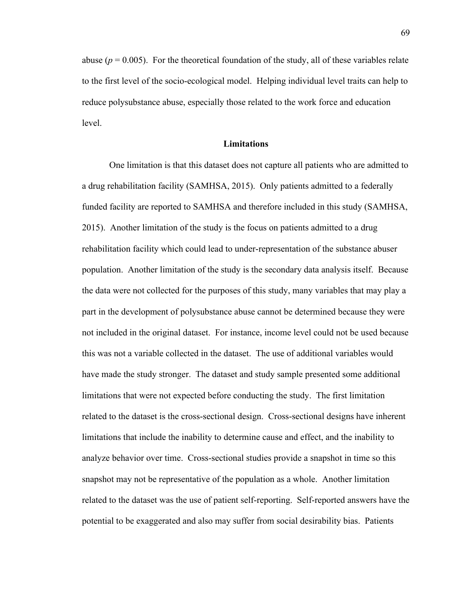abuse ( $p = 0.005$ ). For the theoretical foundation of the study, all of these variables relate to the first level of the socio-ecological model. Helping individual level traits can help to reduce polysubstance abuse, especially those related to the work force and education level.

#### **Limitations**

One limitation is that this dataset does not capture all patients who are admitted to a drug rehabilitation facility (SAMHSA, 2015). Only patients admitted to a federally funded facility are reported to SAMHSA and therefore included in this study (SAMHSA, 2015). Another limitation of the study is the focus on patients admitted to a drug rehabilitation facility which could lead to under-representation of the substance abuser population. Another limitation of the study is the secondary data analysis itself. Because the data were not collected for the purposes of this study, many variables that may play a part in the development of polysubstance abuse cannot be determined because they were not included in the original dataset. For instance, income level could not be used because this was not a variable collected in the dataset. The use of additional variables would have made the study stronger. The dataset and study sample presented some additional limitations that were not expected before conducting the study. The first limitation related to the dataset is the cross-sectional design. Cross-sectional designs have inherent limitations that include the inability to determine cause and effect, and the inability to analyze behavior over time. Cross-sectional studies provide a snapshot in time so this snapshot may not be representative of the population as a whole. Another limitation related to the dataset was the use of patient self-reporting. Self-reported answers have the potential to be exaggerated and also may suffer from social desirability bias. Patients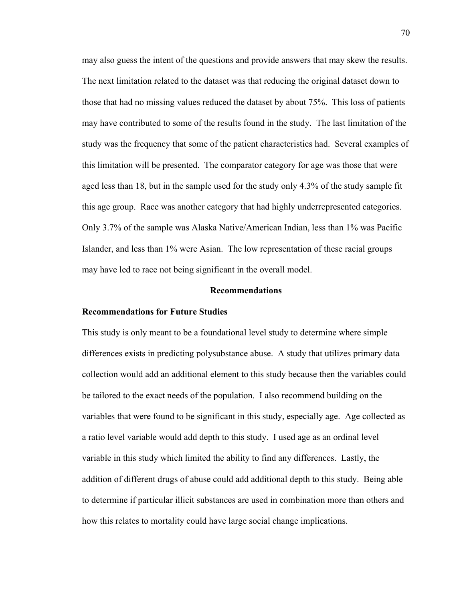may also guess the intent of the questions and provide answers that may skew the results. The next limitation related to the dataset was that reducing the original dataset down to those that had no missing values reduced the dataset by about 75%. This loss of patients may have contributed to some of the results found in the study. The last limitation of the study was the frequency that some of the patient characteristics had. Several examples of this limitation will be presented. The comparator category for age was those that were aged less than 18, but in the sample used for the study only 4.3% of the study sample fit this age group. Race was another category that had highly underrepresented categories. Only 3.7% of the sample was Alaska Native/American Indian, less than 1% was Pacific Islander, and less than 1% were Asian. The low representation of these racial groups may have led to race not being significant in the overall model.

#### **Recommendations**

#### **Recommendations for Future Studies**

This study is only meant to be a foundational level study to determine where simple differences exists in predicting polysubstance abuse. A study that utilizes primary data collection would add an additional element to this study because then the variables could be tailored to the exact needs of the population. I also recommend building on the variables that were found to be significant in this study, especially age. Age collected as a ratio level variable would add depth to this study. I used age as an ordinal level variable in this study which limited the ability to find any differences. Lastly, the addition of different drugs of abuse could add additional depth to this study. Being able to determine if particular illicit substances are used in combination more than others and how this relates to mortality could have large social change implications.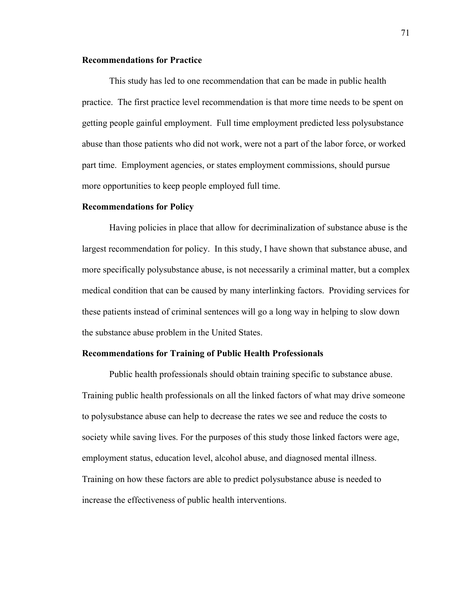#### **Recommendations for Practice**

This study has led to one recommendation that can be made in public health practice. The first practice level recommendation is that more time needs to be spent on getting people gainful employment. Full time employment predicted less polysubstance abuse than those patients who did not work, were not a part of the labor force, or worked part time. Employment agencies, or states employment commissions, should pursue more opportunities to keep people employed full time.

#### **Recommendations for Policy**

Having policies in place that allow for decriminalization of substance abuse is the largest recommendation for policy. In this study, I have shown that substance abuse, and more specifically polysubstance abuse, is not necessarily a criminal matter, but a complex medical condition that can be caused by many interlinking factors. Providing services for these patients instead of criminal sentences will go a long way in helping to slow down the substance abuse problem in the United States.

#### **Recommendations for Training of Public Health Professionals**

Public health professionals should obtain training specific to substance abuse. Training public health professionals on all the linked factors of what may drive someone to polysubstance abuse can help to decrease the rates we see and reduce the costs to society while saving lives. For the purposes of this study those linked factors were age, employment status, education level, alcohol abuse, and diagnosed mental illness. Training on how these factors are able to predict polysubstance abuse is needed to increase the effectiveness of public health interventions.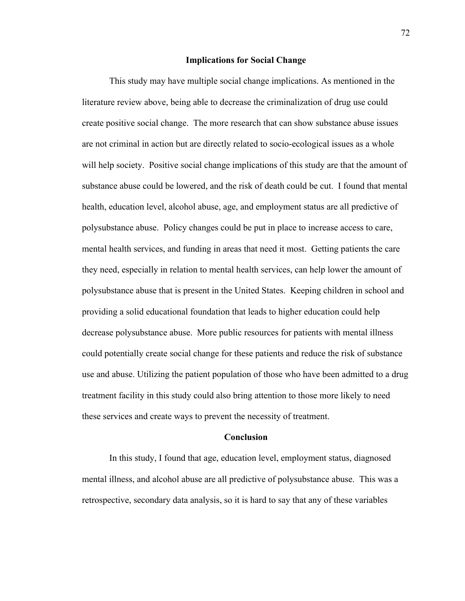#### **Implications for Social Change**

This study may have multiple social change implications. As mentioned in the literature review above, being able to decrease the criminalization of drug use could create positive social change. The more research that can show substance abuse issues are not criminal in action but are directly related to socio-ecological issues as a whole will help society. Positive social change implications of this study are that the amount of substance abuse could be lowered, and the risk of death could be cut. I found that mental health, education level, alcohol abuse, age, and employment status are all predictive of polysubstance abuse. Policy changes could be put in place to increase access to care, mental health services, and funding in areas that need it most. Getting patients the care they need, especially in relation to mental health services, can help lower the amount of polysubstance abuse that is present in the United States. Keeping children in school and providing a solid educational foundation that leads to higher education could help decrease polysubstance abuse. More public resources for patients with mental illness could potentially create social change for these patients and reduce the risk of substance use and abuse. Utilizing the patient population of those who have been admitted to a drug treatment facility in this study could also bring attention to those more likely to need these services and create ways to prevent the necessity of treatment.

#### **Conclusion**

In this study, I found that age, education level, employment status, diagnosed mental illness, and alcohol abuse are all predictive of polysubstance abuse. This was a retrospective, secondary data analysis, so it is hard to say that any of these variables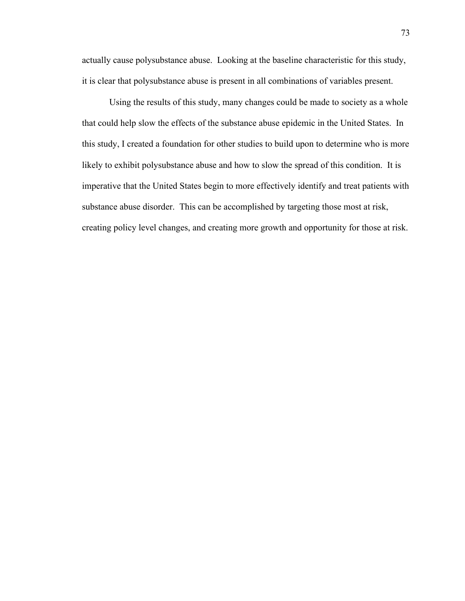actually cause polysubstance abuse. Looking at the baseline characteristic for this study, it is clear that polysubstance abuse is present in all combinations of variables present.

Using the results of this study, many changes could be made to society as a whole that could help slow the effects of the substance abuse epidemic in the United States. In this study, I created a foundation for other studies to build upon to determine who is more likely to exhibit polysubstance abuse and how to slow the spread of this condition. It is imperative that the United States begin to more effectively identify and treat patients with substance abuse disorder. This can be accomplished by targeting those most at risk, creating policy level changes, and creating more growth and opportunity for those at risk.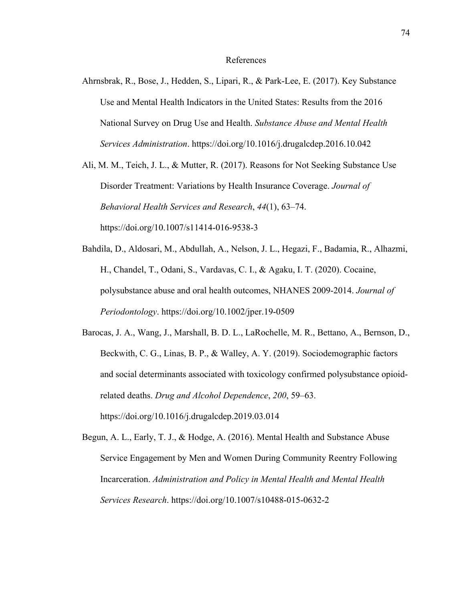#### References

Ahrnsbrak, R., Bose, J., Hedden, S., Lipari, R., & Park-Lee, E. (2017). Key Substance Use and Mental Health Indicators in the United States: Results from the 2016 National Survey on Drug Use and Health. *Substance Abuse and Mental Health Services Administration*. https://doi.org/10.1016/j.drugalcdep.2016.10.042

Ali, M. M., Teich, J. L., & Mutter, R. (2017). Reasons for Not Seeking Substance Use Disorder Treatment: Variations by Health Insurance Coverage. *Journal of Behavioral Health Services and Research*, *44*(1), 63–74. https://doi.org/10.1007/s11414-016-9538-3

- Bahdila, D., Aldosari, M., Abdullah, A., Nelson, J. L., Hegazi, F., Badamia, R., Alhazmi, H., Chandel, T., Odani, S., Vardavas, C. I., & Agaku, I. T. (2020). Cocaine, polysubstance abuse and oral health outcomes, NHANES 2009‐2014. *Journal of Periodontology*. https://doi.org/10.1002/jper.19-0509
- Barocas, J. A., Wang, J., Marshall, B. D. L., LaRochelle, M. R., Bettano, A., Bernson, D., Beckwith, C. G., Linas, B. P., & Walley, A. Y. (2019). Sociodemographic factors and social determinants associated with toxicology confirmed polysubstance opioidrelated deaths. *Drug and Alcohol Dependence*, *200*, 59–63. https://doi.org/10.1016/j.drugalcdep.2019.03.014
- Begun, A. L., Early, T. J., & Hodge, A. (2016). Mental Health and Substance Abuse Service Engagement by Men and Women During Community Reentry Following Incarceration. *Administration and Policy in Mental Health and Mental Health Services Research*. https://doi.org/10.1007/s10488-015-0632-2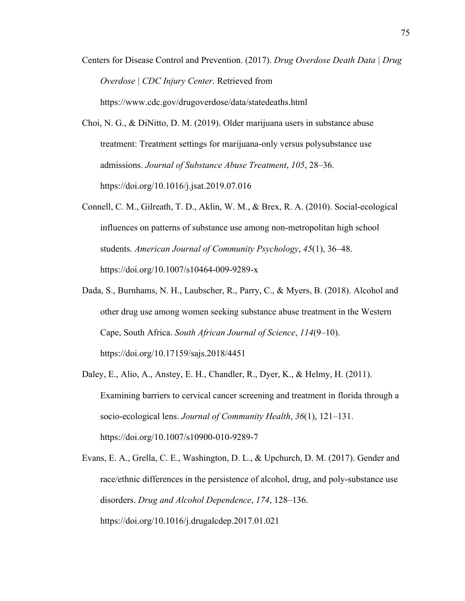Centers for Disease Control and Prevention. (2017). *Drug Overdose Death Data | Drug Overdose | CDC Injury Center*. Retrieved from https://www.cdc.gov/drugoverdose/data/statedeaths.html

Choi, N. G., & DiNitto, D. M. (2019). Older marijuana users in substance abuse treatment: Treatment settings for marijuana-only versus polysubstance use admissions. *Journal of Substance Abuse Treatment*, *105*, 28–36. https://doi.org/10.1016/j.jsat.2019.07.016

- Connell, C. M., Gilreath, T. D., Aklin, W. M., & Brex, R. A. (2010). Social-ecological influences on patterns of substance use among non-metropolitan high school students. *American Journal of Community Psychology*, *45*(1), 36–48. https://doi.org/10.1007/s10464-009-9289-x
- Dada, S., Burnhams, N. H., Laubscher, R., Parry, C., & Myers, B. (2018). Alcohol and other drug use among women seeking substance abuse treatment in the Western Cape, South Africa. *South African Journal of Science*, *114*(9–10). https://doi.org/10.17159/sajs.2018/4451
- Daley, E., Alio, A., Anstey, E. H., Chandler, R., Dyer, K., & Helmy, H. (2011). Examining barriers to cervical cancer screening and treatment in florida through a socio-ecological lens. *Journal of Community Health*, *36*(1), 121–131. https://doi.org/10.1007/s10900-010-9289-7

Evans, E. A., Grella, C. E., Washington, D. L., & Upchurch, D. M. (2017). Gender and race/ethnic differences in the persistence of alcohol, drug, and poly-substance use disorders. *Drug and Alcohol Dependence*, *174*, 128–136. https://doi.org/10.1016/j.drugalcdep.2017.01.021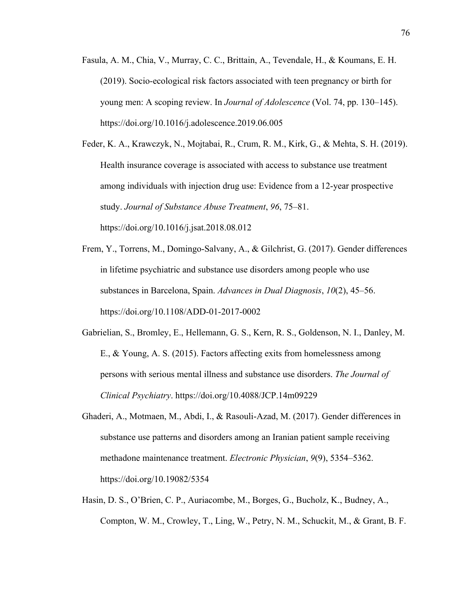Fasula, A. M., Chia, V., Murray, C. C., Brittain, A., Tevendale, H., & Koumans, E. H. (2019). Socio-ecological risk factors associated with teen pregnancy or birth for young men: A scoping review. In *Journal of Adolescence* (Vol. 74, pp. 130–145). https://doi.org/10.1016/j.adolescence.2019.06.005

Feder, K. A., Krawczyk, N., Mojtabai, R., Crum, R. M., Kirk, G., & Mehta, S. H. (2019). Health insurance coverage is associated with access to substance use treatment among individuals with injection drug use: Evidence from a 12-year prospective study. *Journal of Substance Abuse Treatment*, *96*, 75–81. https://doi.org/10.1016/j.jsat.2018.08.012

- Frem, Y., Torrens, M., Domingo-Salvany, A., & Gilchrist, G. (2017). Gender differences in lifetime psychiatric and substance use disorders among people who use substances in Barcelona, Spain. *Advances in Dual Diagnosis*, *10*(2), 45–56. https://doi.org/10.1108/ADD-01-2017-0002
- Gabrielian, S., Bromley, E., Hellemann, G. S., Kern, R. S., Goldenson, N. I., Danley, M. E., & Young, A. S. (2015). Factors affecting exits from homelessness among persons with serious mental illness and substance use disorders. *The Journal of Clinical Psychiatry*. https://doi.org/10.4088/JCP.14m09229
- Ghaderi, A., Motmaen, M., Abdi, I., & Rasouli-Azad, M. (2017). Gender differences in substance use patterns and disorders among an Iranian patient sample receiving methadone maintenance treatment. *Electronic Physician*, *9*(9), 5354–5362. https://doi.org/10.19082/5354
- Hasin, D. S., O'Brien, C. P., Auriacombe, M., Borges, G., Bucholz, K., Budney, A., Compton, W. M., Crowley, T., Ling, W., Petry, N. M., Schuckit, M., & Grant, B. F.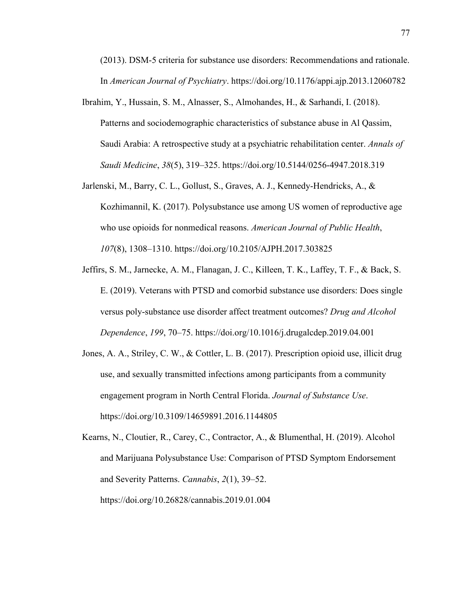(2013). DSM-5 criteria for substance use disorders: Recommendations and rationale. In *American Journal of Psychiatry*. https://doi.org/10.1176/appi.ajp.2013.12060782

- Ibrahim, Y., Hussain, S. M., Alnasser, S., Almohandes, H., & Sarhandi, I. (2018). Patterns and sociodemographic characteristics of substance abuse in Al Qassim, Saudi Arabia: A retrospective study at a psychiatric rehabilitation center. *Annals of Saudi Medicine*, *38*(5), 319–325. https://doi.org/10.5144/0256-4947.2018.319
- Jarlenski, M., Barry, C. L., Gollust, S., Graves, A. J., Kennedy-Hendricks, A., & Kozhimannil, K. (2017). Polysubstance use among US women of reproductive age who use opioids for nonmedical reasons. *American Journal of Public Health*, *107*(8), 1308–1310. https://doi.org/10.2105/AJPH.2017.303825
- Jeffirs, S. M., Jarnecke, A. M., Flanagan, J. C., Killeen, T. K., Laffey, T. F., & Back, S. E. (2019). Veterans with PTSD and comorbid substance use disorders: Does single versus poly-substance use disorder affect treatment outcomes? *Drug and Alcohol Dependence*, *199*, 70–75. https://doi.org/10.1016/j.drugalcdep.2019.04.001
- Jones, A. A., Striley, C. W., & Cottler, L. B. (2017). Prescription opioid use, illicit drug use, and sexually transmitted infections among participants from a community engagement program in North Central Florida. *Journal of Substance Use*. https://doi.org/10.3109/14659891.2016.1144805

Kearns, N., Cloutier, R., Carey, C., Contractor, A., & Blumenthal, H. (2019). Alcohol and Marijuana Polysubstance Use: Comparison of PTSD Symptom Endorsement and Severity Patterns. *Cannabis*, *2*(1), 39–52. https://doi.org/10.26828/cannabis.2019.01.004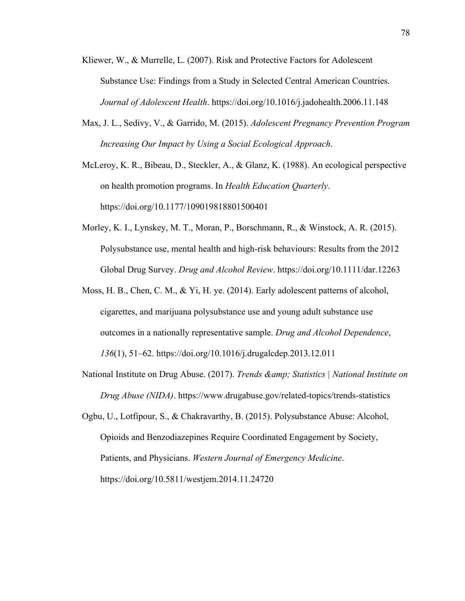- Kliewer, W., & Murrelle, L. (2007). Risk and Protective Factors for Adolescent Substance Use: Findings from a Study in Selected Central American Countries. *Journal of Adolescent Health*. https://doi.org/10.1016/j.jadohealth.2006.11.148
- Max, J. L., Sedivy, V., & Garrido, M. (2015). *Adolescent Pregnancy Prevention Program Increasing Our Impact by Using a Social Ecological Approach*.

McLeroy, K. R., Bibeau, D., Steckler, A., & Glanz, K. (1988). An ecological perspective on health promotion programs. In *Health Education Quarterly*. https://doi.org/10.1177/109019818801500401

- Morley, K. I., Lynskey, M. T., Moran, P., Borschmann, R., & Winstock, A. R. (2015). Polysubstance use, mental health and high-risk behaviours: Results from the 2012 Global Drug Survey. *Drug and Alcohol Review*. https://doi.org/10.1111/dar.12263
- Moss, H. B., Chen, C. M., & Yi, H. ye. (2014). Early adolescent patterns of alcohol, cigarettes, and marijuana polysubstance use and young adult substance use outcomes in a nationally representative sample. *Drug and Alcohol Dependence*, *136*(1), 51–62. https://doi.org/10.1016/j.drugalcdep.2013.12.011
- National Institute on Drug Abuse. (2017). *Trends & amp; Statistics* | *National Institute on Drug Abuse (NIDA)*. https://www.drugabuse.gov/related-topics/trends-statistics
- Ogbu, U., Lotfipour, S., & Chakravarthy, B. (2015). Polysubstance Abuse: Alcohol, Opioids and Benzodiazepines Require Coordinated Engagement by Society, Patients, and Physicians. *Western Journal of Emergency Medicine*. https://doi.org/10.5811/westjem.2014.11.24720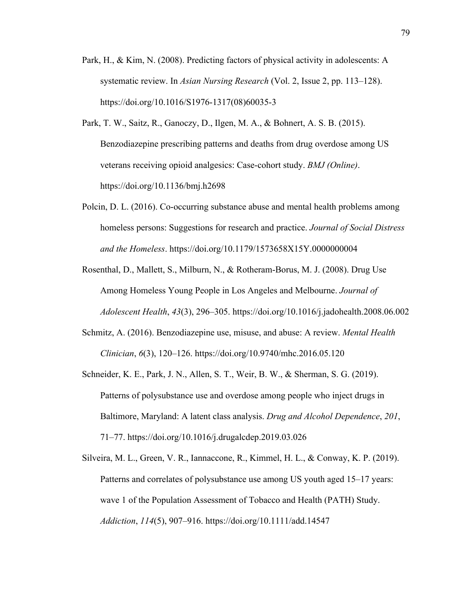- Park, H., & Kim, N. (2008). Predicting factors of physical activity in adolescents: A systematic review. In *Asian Nursing Research* (Vol. 2, Issue 2, pp. 113–128). https://doi.org/10.1016/S1976-1317(08)60035-3
- Park, T. W., Saitz, R., Ganoczy, D., Ilgen, M. A., & Bohnert, A. S. B. (2015). Benzodiazepine prescribing patterns and deaths from drug overdose among US veterans receiving opioid analgesics: Case-cohort study. *BMJ (Online)*. https://doi.org/10.1136/bmj.h2698
- Polcin, D. L. (2016). Co-occurring substance abuse and mental health problems among homeless persons: Suggestions for research and practice. *Journal of Social Distress and the Homeless*. https://doi.org/10.1179/1573658X15Y.0000000004
- Rosenthal, D., Mallett, S., Milburn, N., & Rotheram-Borus, M. J. (2008). Drug Use Among Homeless Young People in Los Angeles and Melbourne. *Journal of Adolescent Health*, *43*(3), 296–305. https://doi.org/10.1016/j.jadohealth.2008.06.002
- Schmitz, A. (2016). Benzodiazepine use, misuse, and abuse: A review. *Mental Health Clinician*, *6*(3), 120–126. https://doi.org/10.9740/mhc.2016.05.120
- Schneider, K. E., Park, J. N., Allen, S. T., Weir, B. W., & Sherman, S. G. (2019). Patterns of polysubstance use and overdose among people who inject drugs in Baltimore, Maryland: A latent class analysis. *Drug and Alcohol Dependence*, *201*, 71–77. https://doi.org/10.1016/j.drugalcdep.2019.03.026
- Silveira, M. L., Green, V. R., Iannaccone, R., Kimmel, H. L., & Conway, K. P. (2019). Patterns and correlates of polysubstance use among US youth aged 15–17 years: wave 1 of the Population Assessment of Tobacco and Health (PATH) Study. *Addiction*, *114*(5), 907–916. https://doi.org/10.1111/add.14547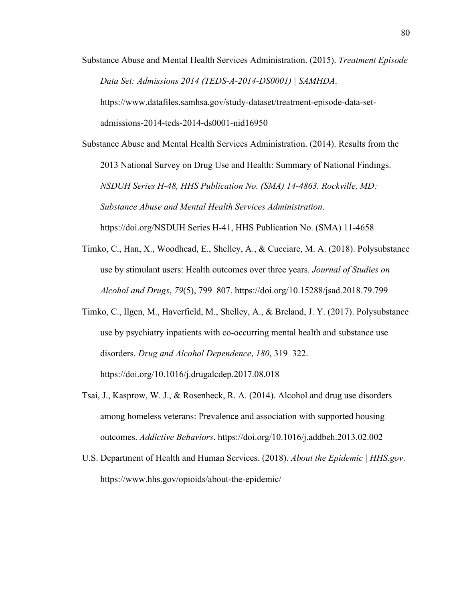Substance Abuse and Mental Health Services Administration. (2015). *Treatment Episode Data Set: Admissions 2014 (TEDS-A-2014-DS0001) | SAMHDA*.

https://www.datafiles.samhsa.gov/study-dataset/treatment-episode-data-set-

admissions-2014-teds-2014-ds0001-nid16950

Substance Abuse and Mental Health Services Administration. (2014). Results from the 2013 National Survey on Drug Use and Health: Summary of National Findings. *NSDUH Series H-48, HHS Publication No. (SMA) 14-4863. Rockville, MD: Substance Abuse and Mental Health Services Administration*. https://doi.org/NSDUH Series H-41, HHS Publication No. (SMA) 11-4658

- Timko, C., Han, X., Woodhead, E., Shelley, A., & Cucciare, M. A. (2018). Polysubstance use by stimulant users: Health outcomes over three years. *Journal of Studies on Alcohol and Drugs*, *79*(5), 799–807. https://doi.org/10.15288/jsad.2018.79.799
- Timko, C., Ilgen, M., Haverfield, M., Shelley, A., & Breland, J. Y. (2017). Polysubstance use by psychiatry inpatients with co-occurring mental health and substance use disorders. *Drug and Alcohol Dependence*, *180*, 319–322. https://doi.org/10.1016/j.drugalcdep.2017.08.018
- Tsai, J., Kasprow, W. J., & Rosenheck, R. A. (2014). Alcohol and drug use disorders among homeless veterans: Prevalence and association with supported housing outcomes. *Addictive Behaviors*. https://doi.org/10.1016/j.addbeh.2013.02.002
- U.S. Department of Health and Human Services. (2018). *About the Epidemic | HHS.gov*. https://www.hhs.gov/opioids/about-the-epidemic/